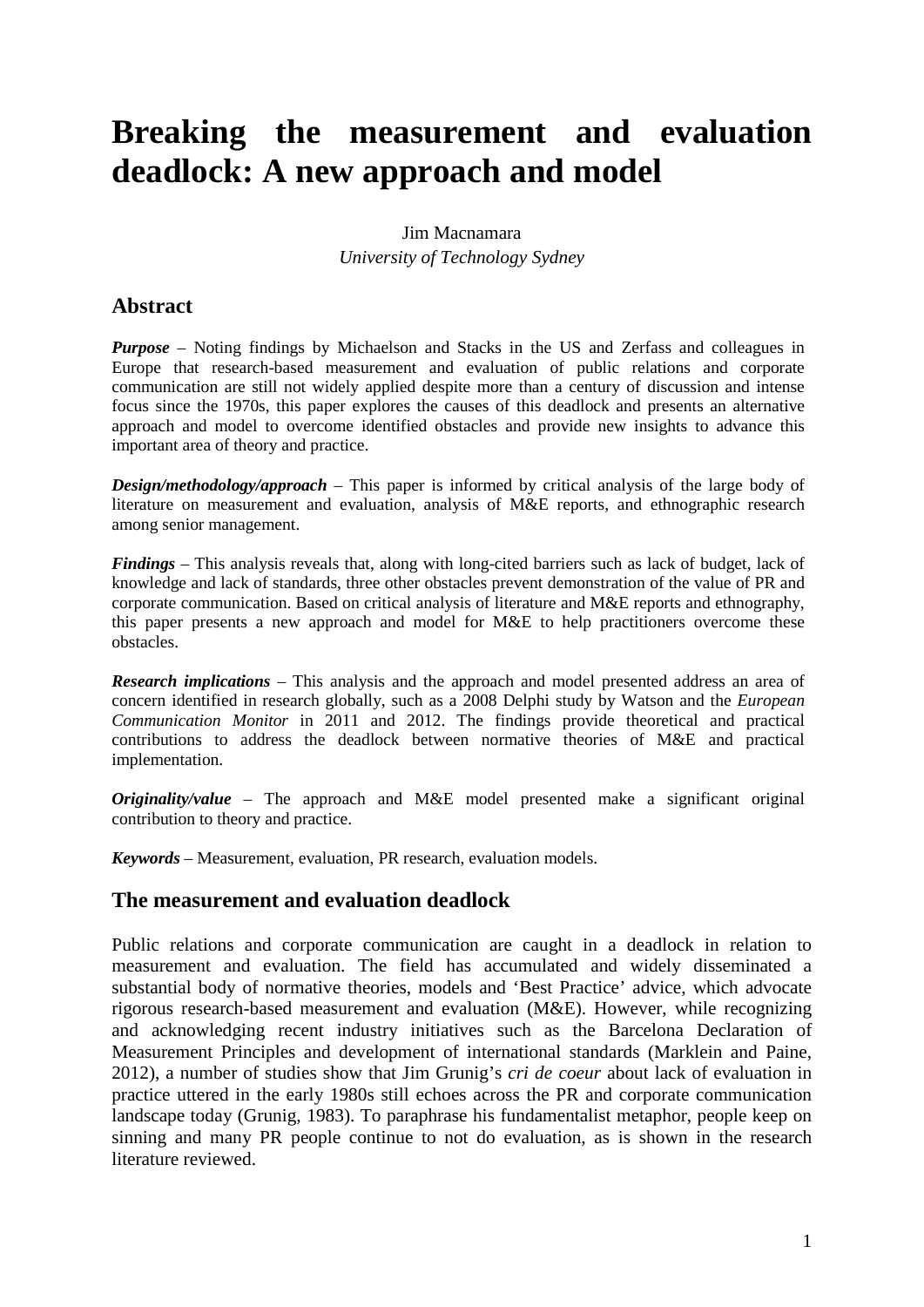# **Breaking the measurement and evaluation deadlock: A new approach and model**

## Jim Macnamara *University of Technology Sydney*

# **Abstract**

*Purpose* – Noting findings by Michaelson and Stacks in the US and Zerfass and colleagues in Europe that research-based measurement and evaluation of public relations and corporate communication are still not widely applied despite more than a century of discussion and intense focus since the 1970s, this paper explores the causes of this deadlock and presents an alternative approach and model to overcome identified obstacles and provide new insights to advance this important area of theory and practice.

*Design/methodology/approach* – This paper is informed by critical analysis of the large body of literature on measurement and evaluation, analysis of M&E reports, and ethnographic research among senior management.

*Findings* – This analysis reveals that, along with long-cited barriers such as lack of budget, lack of knowledge and lack of standards, three other obstacles prevent demonstration of the value of PR and corporate communication. Based on critical analysis of literature and M&E reports and ethnography, this paper presents a new approach and model for M&E to help practitioners overcome these obstacles.

*Research implications* – This analysis and the approach and model presented address an area of concern identified in research globally, such as a 2008 Delphi study by Watson and the *European Communication Monitor* in 2011 and 2012. The findings provide theoretical and practical contributions to address the deadlock between normative theories of M&E and practical implementation.

*Originality/value* – The approach and M&E model presented make a significant original contribution to theory and practice.

*Keywords* – Measurement, evaluation, PR research, evaluation models.

# **The measurement and evaluation deadlock**

Public relations and corporate communication are caught in a deadlock in relation to measurement and evaluation. The field has accumulated and widely disseminated a substantial body of normative theories, models and 'Best Practice' advice, which advocate rigorous research-based measurement and evaluation (M&E). However, while recognizing and acknowledging recent industry initiatives such as the Barcelona Declaration of Measurement Principles and development of international standards (Marklein and Paine, 2012), a number of studies show that Jim Grunig's *cri de coeur* about lack of evaluation in practice uttered in the early 1980s still echoes across the PR and corporate communication landscape today (Grunig, 1983). To paraphrase his fundamentalist metaphor, people keep on sinning and many PR people continue to not do evaluation, as is shown in the research literature reviewed.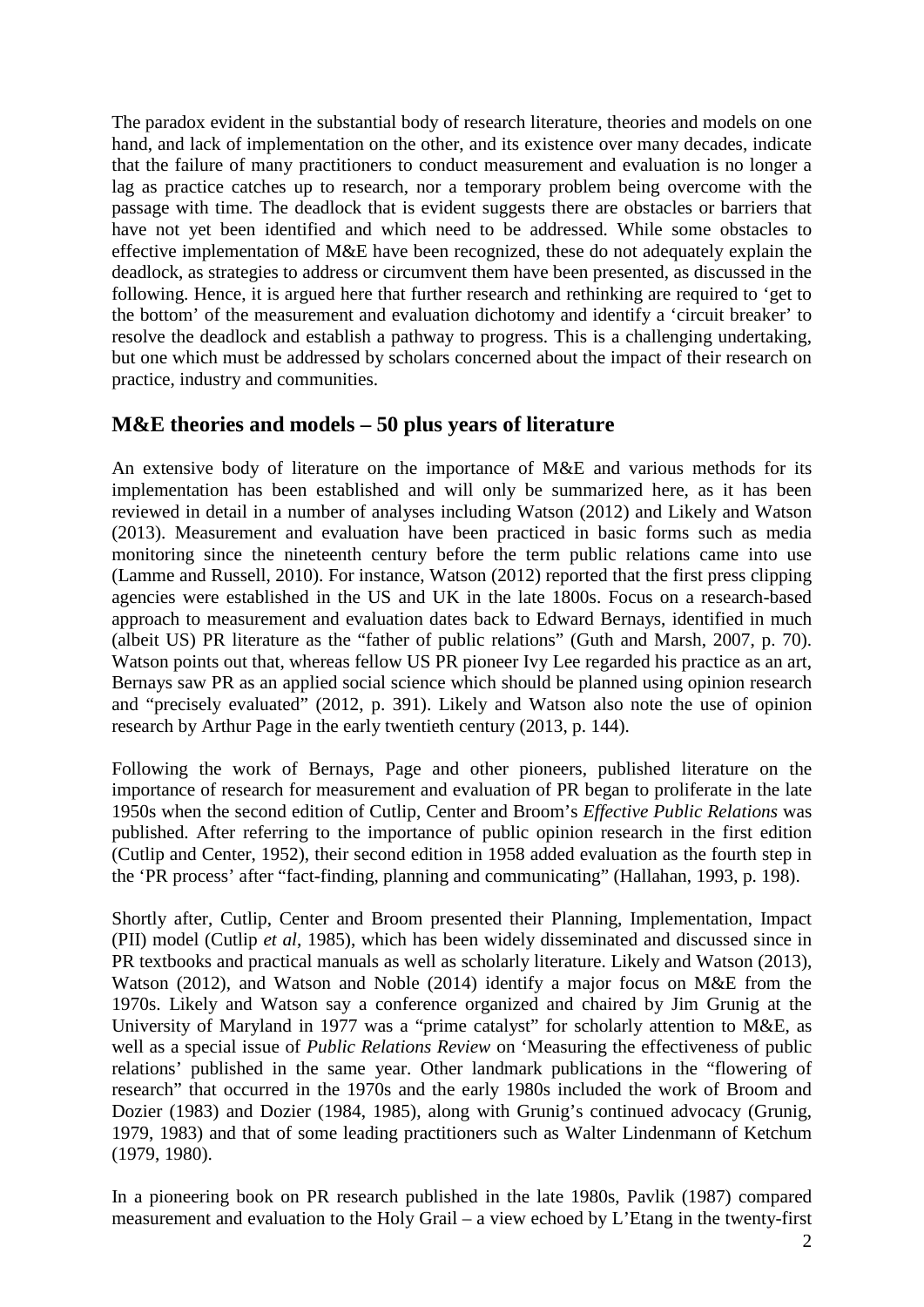The paradox evident in the substantial body of research literature, theories and models on one hand, and lack of implementation on the other, and its existence over many decades, indicate that the failure of many practitioners to conduct measurement and evaluation is no longer a lag as practice catches up to research, nor a temporary problem being overcome with the passage with time. The deadlock that is evident suggests there are obstacles or barriers that have not yet been identified and which need to be addressed. While some obstacles to effective implementation of M&E have been recognized, these do not adequately explain the deadlock, as strategies to address or circumvent them have been presented, as discussed in the following. Hence, it is argued here that further research and rethinking are required to 'get to the bottom' of the measurement and evaluation dichotomy and identify a 'circuit breaker' to resolve the deadlock and establish a pathway to progress. This is a challenging undertaking, but one which must be addressed by scholars concerned about the impact of their research on practice, industry and communities.

# **M&E theories and models – 50 plus years of literature**

An extensive body of literature on the importance of M&E and various methods for its implementation has been established and will only be summarized here, as it has been reviewed in detail in a number of analyses including Watson (2012) and Likely and Watson (2013). Measurement and evaluation have been practiced in basic forms such as media monitoring since the nineteenth century before the term public relations came into use (Lamme and Russell, 2010). For instance, Watson (2012) reported that the first press clipping agencies were established in the US and UK in the late 1800s. Focus on a research-based approach to measurement and evaluation dates back to Edward Bernays, identified in much (albeit US) PR literature as the "father of public relations" (Guth and Marsh, 2007, p. 70). Watson points out that, whereas fellow US PR pioneer Ivy Lee regarded his practice as an art, Bernays saw PR as an applied social science which should be planned using opinion research and "precisely evaluated" (2012, p. 391). Likely and Watson also note the use of opinion research by Arthur Page in the early twentieth century (2013, p. 144).

Following the work of Bernays, Page and other pioneers, published literature on the importance of research for measurement and evaluation of PR began to proliferate in the late 1950s when the second edition of Cutlip, Center and Broom's *Effective Public Relations* was published. After referring to the importance of public opinion research in the first edition (Cutlip and Center, 1952), their second edition in 1958 added evaluation as the fourth step in the 'PR process' after "fact-finding, planning and communicating" (Hallahan, 1993, p. 198).

Shortly after, Cutlip, Center and Broom presented their Planning, Implementation, Impact (PII) model (Cutlip *et al*, 1985), which has been widely disseminated and discussed since in PR textbooks and practical manuals as well as scholarly literature. Likely and Watson (2013), Watson (2012), and Watson and Noble (2014) identify a major focus on M&E from the 1970s. Likely and Watson say a conference organized and chaired by Jim Grunig at the University of Maryland in 1977 was a "prime catalyst" for scholarly attention to M&E, as well as a special issue of *Public Relations Review* on 'Measuring the effectiveness of public relations' published in the same year. Other landmark publications in the "flowering of research" that occurred in the 1970s and the early 1980s included the work of Broom and Dozier (1983) and Dozier (1984, 1985), along with Grunig's continued advocacy (Grunig, 1979, 1983) and that of some leading practitioners such as Walter Lindenmann of Ketchum (1979, 1980).

In a pioneering book on PR research published in the late 1980s, Pavlik (1987) compared measurement and evaluation to the Holy Grail – a view echoed by L'Etang in the twenty-first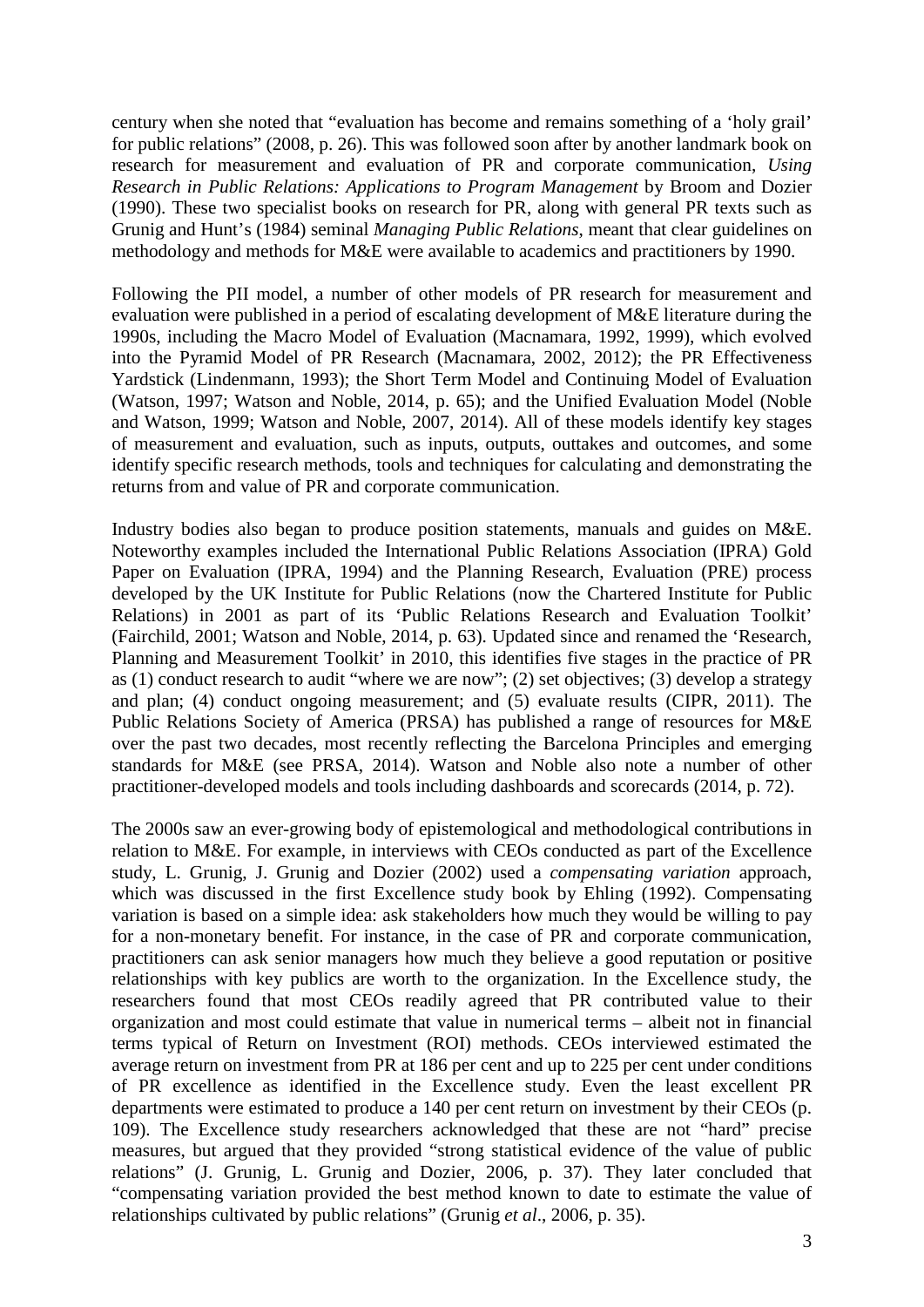century when she noted that "evaluation has become and remains something of a 'holy grail' for public relations" (2008, p. 26). This was followed soon after by another landmark book on research for measurement and evaluation of PR and corporate communication, *Using Research in Public Relations: Applications to Program Management* by Broom and Dozier (1990). These two specialist books on research for PR, along with general PR texts such as Grunig and Hunt's (1984) seminal *Managing Public Relations*, meant that clear guidelines on methodology and methods for M&E were available to academics and practitioners by 1990.

Following the PII model, a number of other models of PR research for measurement and evaluation were published in a period of escalating development of M&E literature during the 1990s, including the Macro Model of Evaluation (Macnamara, 1992, 1999), which evolved into the Pyramid Model of PR Research (Macnamara, 2002, 2012); the PR Effectiveness Yardstick (Lindenmann, 1993); the Short Term Model and Continuing Model of Evaluation (Watson, 1997; Watson and Noble, 2014, p. 65); and the Unified Evaluation Model (Noble and Watson, 1999; Watson and Noble, 2007, 2014). All of these models identify key stages of measurement and evaluation, such as inputs, outputs, outtakes and outcomes, and some identify specific research methods, tools and techniques for calculating and demonstrating the returns from and value of PR and corporate communication.

Industry bodies also began to produce position statements, manuals and guides on M&E. Noteworthy examples included the International Public Relations Association (IPRA) Gold Paper on Evaluation (IPRA, 1994) and the Planning Research, Evaluation (PRE) process developed by the UK Institute for Public Relations (now the Chartered Institute for Public Relations) in 2001 as part of its 'Public Relations Research and Evaluation Toolkit' (Fairchild, 2001; Watson and Noble, 2014, p. 63). Updated since and renamed the 'Research, Planning and Measurement Toolkit' in 2010, this identifies five stages in the practice of PR as (1) conduct research to audit "where we are now"; (2) set objectives; (3) develop a strategy and plan; (4) conduct ongoing measurement; and (5) evaluate results (CIPR, 2011). The Public Relations Society of America (PRSA) has published a range of resources for M&E over the past two decades, most recently reflecting the Barcelona Principles and emerging standards for M&E (see PRSA, 2014). Watson and Noble also note a number of other practitioner-developed models and tools including dashboards and scorecards (2014, p. 72).

The 2000s saw an ever-growing body of epistemological and methodological contributions in relation to M&E. For example, in interviews with CEOs conducted as part of the Excellence study, L. Grunig, J. Grunig and Dozier (2002) used a *compensating variation* approach, which was discussed in the first Excellence study book by Ehling (1992). Compensating variation is based on a simple idea: ask stakeholders how much they would be willing to pay for a non-monetary benefit. For instance, in the case of PR and corporate communication, practitioners can ask senior managers how much they believe a good reputation or positive relationships with key publics are worth to the organization. In the Excellence study, the researchers found that most CEOs readily agreed that PR contributed value to their organization and most could estimate that value in numerical terms – albeit not in financial terms typical of Return on Investment (ROI) methods. CEOs interviewed estimated the average return on investment from PR at 186 per cent and up to 225 per cent under conditions of PR excellence as identified in the Excellence study. Even the least excellent PR departments were estimated to produce a 140 per cent return on investment by their CEOs (p. 109). The Excellence study researchers acknowledged that these are not "hard" precise measures, but argued that they provided "strong statistical evidence of the value of public relations" (J. Grunig, L. Grunig and Dozier, 2006, p. 37). They later concluded that "compensating variation provided the best method known to date to estimate the value of relationships cultivated by public relations" (Grunig *et al*., 2006, p. 35).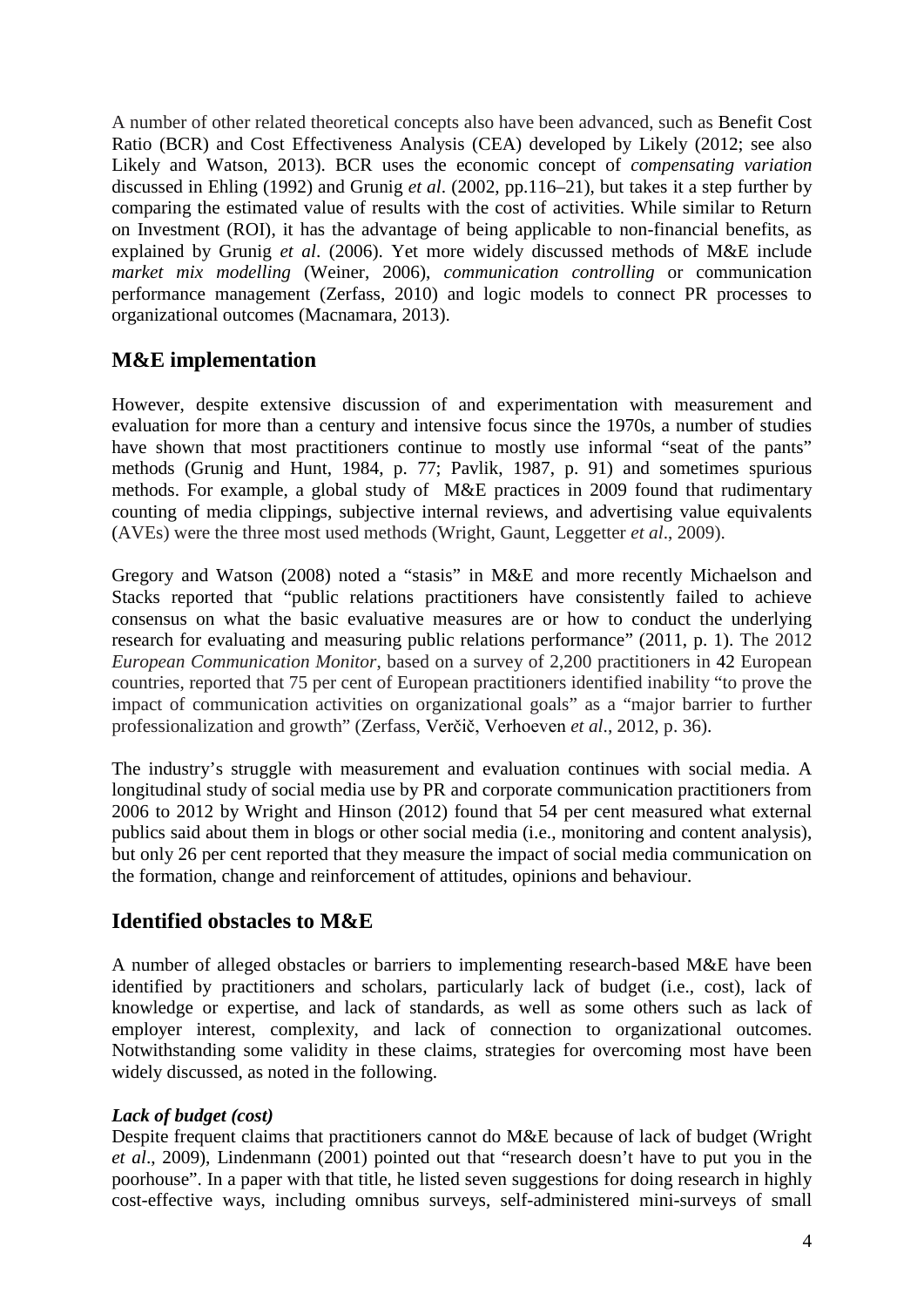A number of other related theoretical concepts also have been advanced, such as Benefit Cost Ratio (BCR) and Cost Effectiveness Analysis (CEA) developed by Likely (2012; see also Likely and Watson, 2013). BCR uses the economic concept of *compensating variation* discussed in Ehling (1992) and Grunig *et al*. (2002, pp.116–21), but takes it a step further by comparing the estimated value of results with the cost of activities. While similar to Return on Investment (ROI), it has the advantage of being applicable to non-financial benefits, as explained by Grunig *et al*. (2006). Yet more widely discussed methods of M&E include *market mix modelling* (Weiner, 2006), *communication controlling* or communication performance management (Zerfass, 2010) and logic models to connect PR processes to organizational outcomes (Macnamara, 2013).

# **M&E implementation**

However, despite extensive discussion of and experimentation with measurement and evaluation for more than a century and intensive focus since the 1970s, a number of studies have shown that most practitioners continue to mostly use informal "seat of the pants" methods (Grunig and Hunt, 1984, p. 77; Pavlik, 1987, p. 91) and sometimes spurious methods. For example, a global study of M&E practices in 2009 found that rudimentary counting of media clippings, subjective internal reviews, and advertising value equivalents (AVEs) were the three most used methods (Wright, Gaunt, Leggetter *et al*., 2009).

Gregory and Watson (2008) noted a "stasis" in M&E and more recently Michaelson and Stacks reported that "public relations practitioners have consistently failed to achieve consensus on what the basic evaluative measures are or how to conduct the underlying research for evaluating and measuring public relations performance" (2011, p. 1). The 2012 *European Communication Monitor*, based on a survey of 2,200 practitioners in 42 European countries, reported that 75 per cent of European practitioners identified inability "to prove the impact of communication activities on organizational goals" as a "major barrier to further professionalization and growth" (Zerfass, Verčič, Verhoeven *et al*., 2012, p. 36).

The industry's struggle with measurement and evaluation continues with social media. A longitudinal study of social media use by PR and corporate communication practitioners from 2006 to 2012 by Wright and Hinson (2012) found that 54 per cent measured what external publics said about them in blogs or other social media (i.e., monitoring and content analysis), but only 26 per cent reported that they measure the impact of social media communication on the formation, change and reinforcement of attitudes, opinions and behaviour.

# **Identified obstacles to M&E**

A number of alleged obstacles or barriers to implementing research-based M&E have been identified by practitioners and scholars, particularly lack of budget (i.e., cost), lack of knowledge or expertise, and lack of standards, as well as some others such as lack of employer interest, complexity, and lack of connection to organizational outcomes. Notwithstanding some validity in these claims, strategies for overcoming most have been widely discussed, as noted in the following.

## *Lack of budget (cost)*

Despite frequent claims that practitioners cannot do M&E because of lack of budget (Wright *et al*., 2009), Lindenmann (2001) pointed out that "research doesn't have to put you in the poorhouse". In a paper with that title, he listed seven suggestions for doing research in highly cost-effective ways, including omnibus surveys, self-administered mini-surveys of small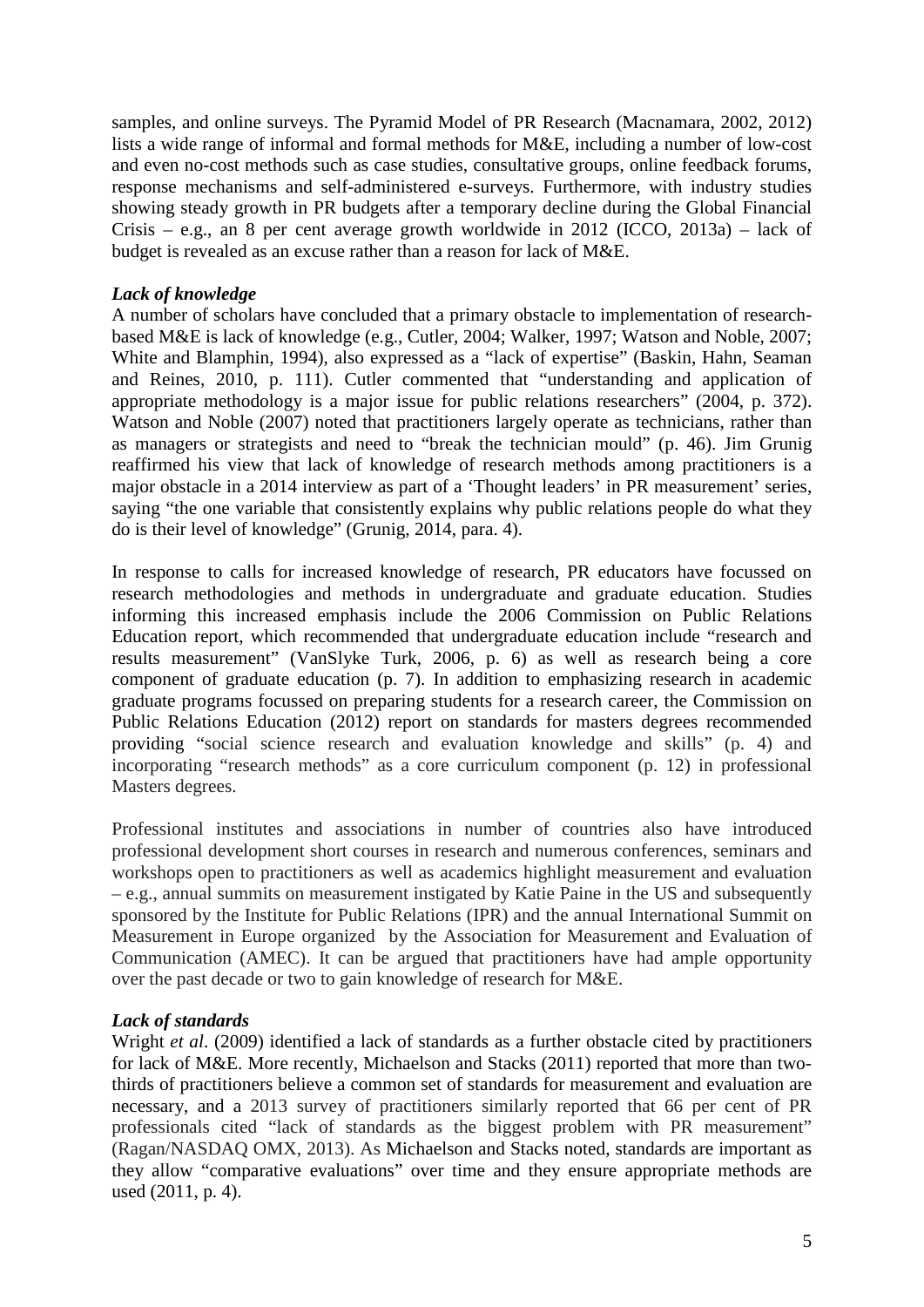samples, and online surveys. The Pyramid Model of PR Research (Macnamara, 2002, 2012) lists a wide range of informal and formal methods for M&E, including a number of low-cost and even no-cost methods such as case studies, consultative groups, online feedback forums, response mechanisms and self-administered e-surveys. Furthermore, with industry studies showing steady growth in PR budgets after a temporary decline during the Global Financial Crisis – e.g., an 8 per cent average growth worldwide in 2012 (ICCO, 2013a) – lack of budget is revealed as an excuse rather than a reason for lack of M&E.

## *Lack of knowledge*

A number of scholars have concluded that a primary obstacle to implementation of researchbased M&E is lack of knowledge (e.g., Cutler, 2004; Walker, 1997; Watson and Noble, 2007; White and Blamphin, 1994), also expressed as a "lack of expertise" (Baskin, Hahn, Seaman and Reines, 2010, p. 111). Cutler commented that "understanding and application of appropriate methodology is a major issue for public relations researchers" (2004, p. 372). Watson and Noble (2007) noted that practitioners largely operate as technicians, rather than as managers or strategists and need to "break the technician mould" (p. 46). Jim Grunig reaffirmed his view that lack of knowledge of research methods among practitioners is a major obstacle in a 2014 interview as part of a 'Thought leaders' in PR measurement' series, saying "the one variable that consistently explains why public relations people do what they do is their level of knowledge" (Grunig, 2014, para. 4).

In response to calls for increased knowledge of research, PR educators have focussed on research methodologies and methods in undergraduate and graduate education. Studies informing this increased emphasis include the 2006 Commission on Public Relations Education report, which recommended that undergraduate education include "research and results measurement" (VanSlyke Turk, 2006, p. 6) as well as research being a core component of graduate education (p. 7). In addition to emphasizing research in academic graduate programs focussed on preparing students for a research career, the Commission on Public Relations Education (2012) report on standards for masters degrees recommended providing "social science research and evaluation knowledge and skills" (p. 4) and incorporating "research methods" as a core curriculum component (p. 12) in professional Masters degrees.

Professional institutes and associations in number of countries also have introduced professional development short courses in research and numerous conferences, seminars and workshops open to practitioners as well as academics highlight measurement and evaluation – e.g., annual summits on measurement instigated by Katie Paine in the US and subsequently sponsored by the Institute for Public Relations (IPR) and the annual International Summit on Measurement in Europe organized by the Association for Measurement and Evaluation of Communication (AMEC). It can be argued that practitioners have had ample opportunity over the past decade or two to gain knowledge of research for M&E.

## *Lack of standards*

Wright *et al*. (2009) identified a lack of standards as a further obstacle cited by practitioners for lack of M&E. More recently, Michaelson and Stacks (2011) reported that more than twothirds of practitioners believe a common set of standards for measurement and evaluation are necessary, and a 2013 survey of practitioners similarly reported that 66 per cent of PR professionals cited "lack of standards as the biggest problem with PR measurement" (Ragan/NASDAQ OMX, 2013). As Michaelson and Stacks noted, standards are important as they allow "comparative evaluations" over time and they ensure appropriate methods are used (2011, p. 4).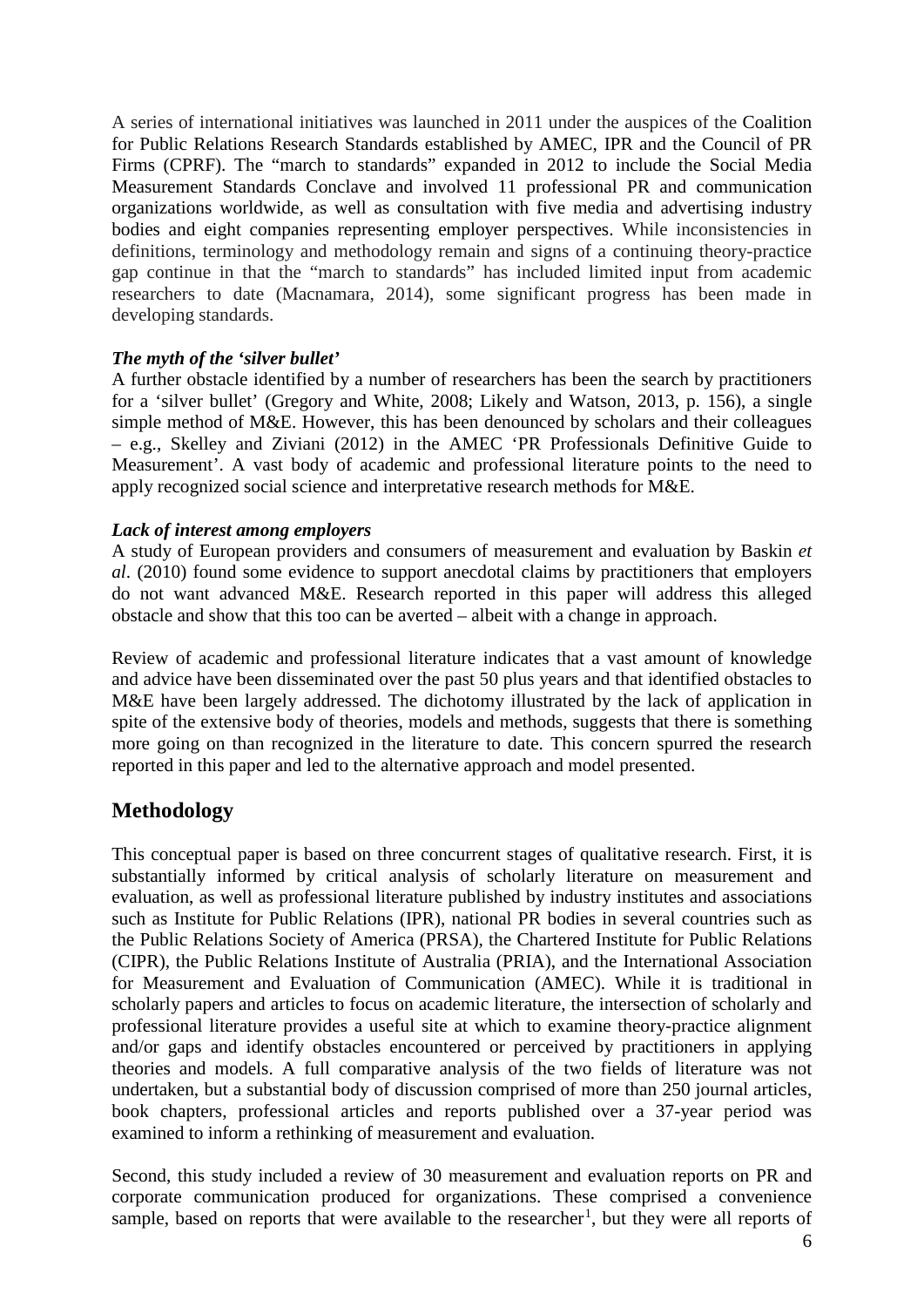A series of international initiatives was launched in 2011 under the auspices of the Coalition for Public Relations Research Standards established by AMEC, IPR and the Council of PR Firms (CPRF). The "march to standards" expanded in 2012 to include the Social Media Measurement Standards Conclave and involved 11 professional PR and communication organizations worldwide, as well as consultation with five media and advertising industry bodies and eight companies representing employer perspectives. While inconsistencies in definitions, terminology and methodology remain and signs of a continuing theory-practice gap continue in that the "march to standards" has included limited input from academic researchers to date (Macnamara, 2014), some significant progress has been made in developing standards.

#### *The myth of the 'silver bullet'*

A further obstacle identified by a number of researchers has been the search by practitioners for a 'silver bullet' (Gregory and White, 2008; Likely and Watson, 2013, p. 156), a single simple method of M&E. However, this has been denounced by scholars and their colleagues – e.g., Skelley and Ziviani (2012) in the AMEC 'PR Professionals Definitive Guide to Measurement'. A vast body of academic and professional literature points to the need to apply recognized social science and interpretative research methods for M&E.

#### *Lack of interest among employers*

A study of European providers and consumers of measurement and evaluation by Baskin *et al*. (2010) found some evidence to support anecdotal claims by practitioners that employers do not want advanced M&E. Research reported in this paper will address this alleged obstacle and show that this too can be averted – albeit with a change in approach.

Review of academic and professional literature indicates that a vast amount of knowledge and advice have been disseminated over the past 50 plus years and that identified obstacles to M&E have been largely addressed. The dichotomy illustrated by the lack of application in spite of the extensive body of theories, models and methods, suggests that there is something more going on than recognized in the literature to date. This concern spurred the research reported in this paper and led to the alternative approach and model presented.

# **Methodology**

This conceptual paper is based on three concurrent stages of qualitative research. First, it is substantially informed by critical analysis of scholarly literature on measurement and evaluation, as well as professional literature published by industry institutes and associations such as Institute for Public Relations (IPR), national PR bodies in several countries such as the Public Relations Society of America (PRSA), the Chartered Institute for Public Relations (CIPR), the Public Relations Institute of Australia (PRIA), and the International Association for Measurement and Evaluation of Communication (AMEC). While it is traditional in scholarly papers and articles to focus on academic literature, the intersection of scholarly and professional literature provides a useful site at which to examine theory-practice alignment and/or gaps and identify obstacles encountered or perceived by practitioners in applying theories and models. A full comparative analysis of the two fields of literature was not undertaken, but a substantial body of discussion comprised of more than 250 journal articles, book chapters, professional articles and reports published over a 37-year period was examined to inform a rethinking of measurement and evaluation.

Second, this study included a review of 30 measurement and evaluation reports on PR and corporate communication produced for organizations. These comprised a convenience sample, based on reports that were available to the researcher<sup>[1](#page-16-0)</sup>, but they were all reports of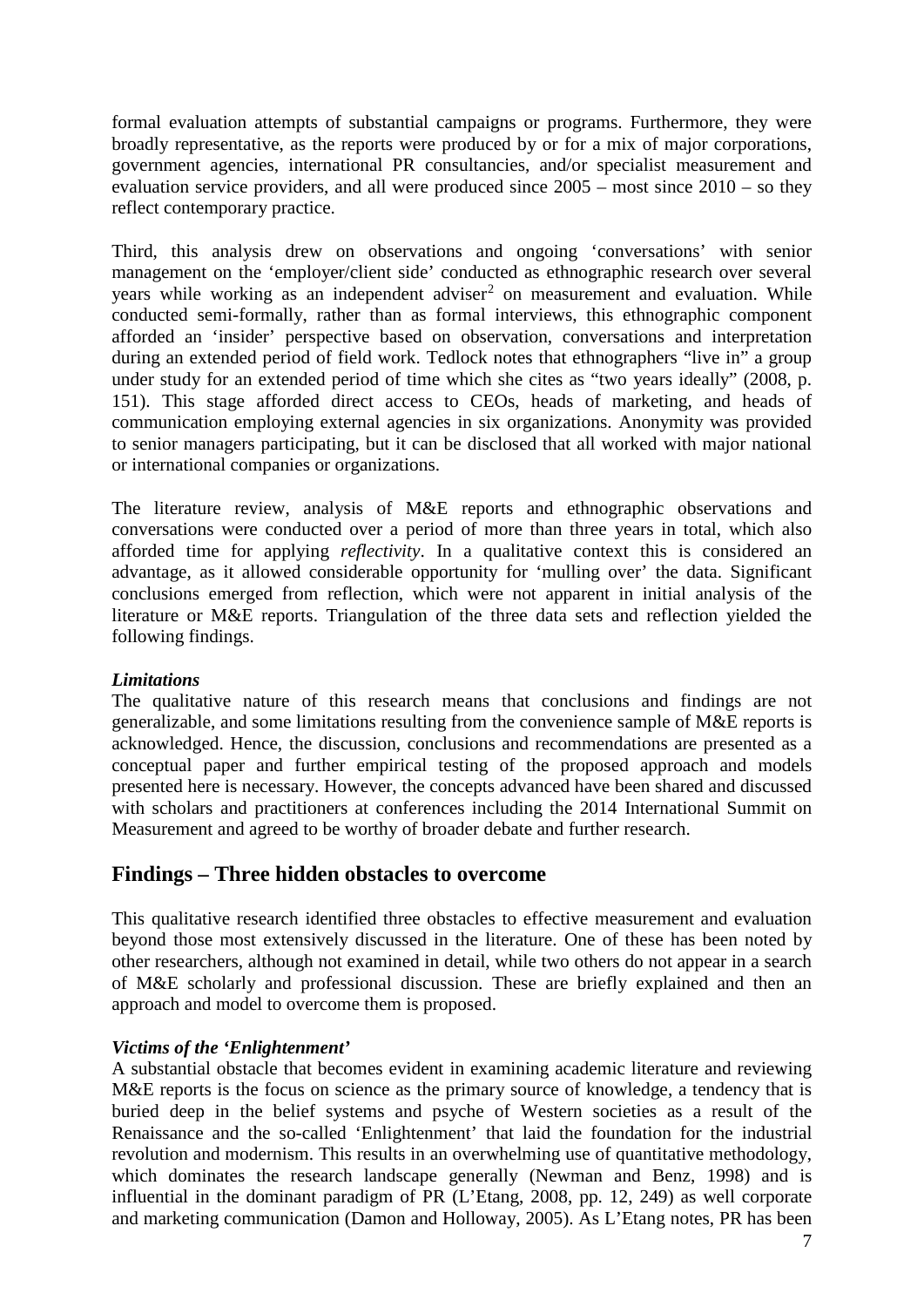formal evaluation attempts of substantial campaigns or programs. Furthermore, they were broadly representative, as the reports were produced by or for a mix of major corporations, government agencies, international PR consultancies, and/or specialist measurement and evaluation service providers, and all were produced since 2005 – most since 2010 – so they reflect contemporary practice.

Third, this analysis drew on observations and ongoing 'conversations' with senior management on the 'employer/client side' conducted as ethnographic research over several years while working as an independent adviser<sup>[2](#page-16-1)</sup> on measurement and evaluation. While conducted semi-formally, rather than as formal interviews, this ethnographic component afforded an 'insider' perspective based on observation, conversations and interpretation during an extended period of field work. Tedlock notes that ethnographers "live in" a group under study for an extended period of time which she cites as "two years ideally" (2008, p. 151). This stage afforded direct access to CEOs, heads of marketing, and heads of communication employing external agencies in six organizations. Anonymity was provided to senior managers participating, but it can be disclosed that all worked with major national or international companies or organizations.

The literature review, analysis of M&E reports and ethnographic observations and conversations were conducted over a period of more than three years in total, which also afforded time for applying *reflectivity*. In a qualitative context this is considered an advantage, as it allowed considerable opportunity for 'mulling over' the data. Significant conclusions emerged from reflection, which were not apparent in initial analysis of the literature or M&E reports. Triangulation of the three data sets and reflection yielded the following findings.

## *Limitations*

The qualitative nature of this research means that conclusions and findings are not generalizable, and some limitations resulting from the convenience sample of M&E reports is acknowledged. Hence, the discussion, conclusions and recommendations are presented as a conceptual paper and further empirical testing of the proposed approach and models presented here is necessary. However, the concepts advanced have been shared and discussed with scholars and practitioners at conferences including the 2014 International Summit on Measurement and agreed to be worthy of broader debate and further research.

# **Findings – Three hidden obstacles to overcome**

This qualitative research identified three obstacles to effective measurement and evaluation beyond those most extensively discussed in the literature. One of these has been noted by other researchers, although not examined in detail, while two others do not appear in a search of M&E scholarly and professional discussion. These are briefly explained and then an approach and model to overcome them is proposed.

#### *Victims of the 'Enlightenment'*

A substantial obstacle that becomes evident in examining academic literature and reviewing M&E reports is the focus on science as the primary source of knowledge, a tendency that is buried deep in the belief systems and psyche of Western societies as a result of the Renaissance and the so-called 'Enlightenment' that laid the foundation for the industrial revolution and modernism. This results in an overwhelming use of quantitative methodology, which dominates the research landscape generally (Newman and Benz, 1998) and is influential in the dominant paradigm of PR (L'Etang, 2008, pp. 12, 249) as well corporate and marketing communication (Damon and Holloway, 2005). As L'Etang notes, PR has been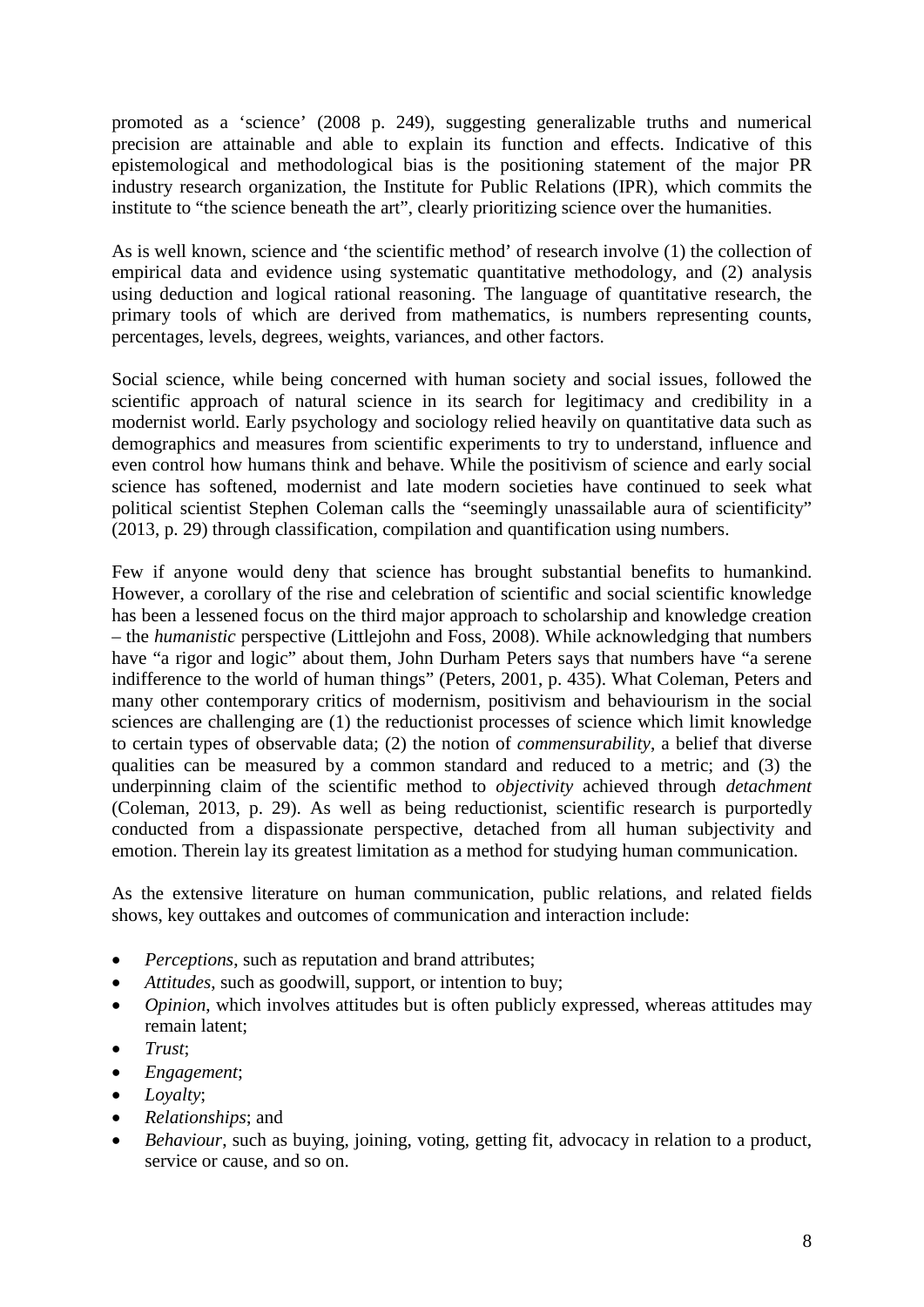promoted as a 'science' (2008 p. 249), suggesting generalizable truths and numerical precision are attainable and able to explain its function and effects. Indicative of this epistemological and methodological bias is the positioning statement of the major PR industry research organization, the Institute for Public Relations (IPR), which commits the institute to "the science beneath the art", clearly prioritizing science over the humanities.

As is well known, science and 'the scientific method' of research involve (1) the collection of empirical data and evidence using systematic quantitative methodology, and (2) analysis using deduction and logical rational reasoning. The language of quantitative research, the primary tools of which are derived from mathematics, is numbers representing counts, percentages, levels, degrees, weights, variances, and other factors.

Social science, while being concerned with human society and social issues, followed the scientific approach of natural science in its search for legitimacy and credibility in a modernist world. Early psychology and sociology relied heavily on quantitative data such as demographics and measures from scientific experiments to try to understand, influence and even control how humans think and behave. While the positivism of science and early social science has softened, modernist and late modern societies have continued to seek what political scientist Stephen Coleman calls the "seemingly unassailable aura of scientificity" (2013, p. 29) through classification, compilation and quantification using numbers.

Few if anyone would deny that science has brought substantial benefits to humankind. However, a corollary of the rise and celebration of scientific and social scientific knowledge has been a lessened focus on the third major approach to scholarship and knowledge creation – the *humanistic* perspective (Littlejohn and Foss, 2008). While acknowledging that numbers have "a rigor and logic" about them, John Durham Peters says that numbers have "a serene indifference to the world of human things" (Peters, 2001, p. 435). What Coleman, Peters and many other contemporary critics of modernism, positivism and behaviourism in the social sciences are challenging are (1) the reductionist processes of science which limit knowledge to certain types of observable data; (2) the notion of *commensurability*, a belief that diverse qualities can be measured by a common standard and reduced to a metric; and (3) the underpinning claim of the scientific method to *objectivity* achieved through *detachment* (Coleman, 2013, p. 29). As well as being reductionist, scientific research is purportedly conducted from a dispassionate perspective, detached from all human subjectivity and emotion. Therein lay its greatest limitation as a method for studying human communication.

As the extensive literature on human communication, public relations, and related fields shows, key outtakes and outcomes of communication and interaction include:

- *Perceptions*, such as reputation and brand attributes;
- *Attitudes*, such as goodwill, support, or intention to buy;
- *Opinion*, which involves attitudes but is often publicly expressed, whereas attitudes may remain latent;
- *Trust*;
- *Engagement*;
- *Loyalty*;
- *Relationships*; and
- *Behaviour*, such as buying, joining, voting, getting fit, advocacy in relation to a product, service or cause, and so on.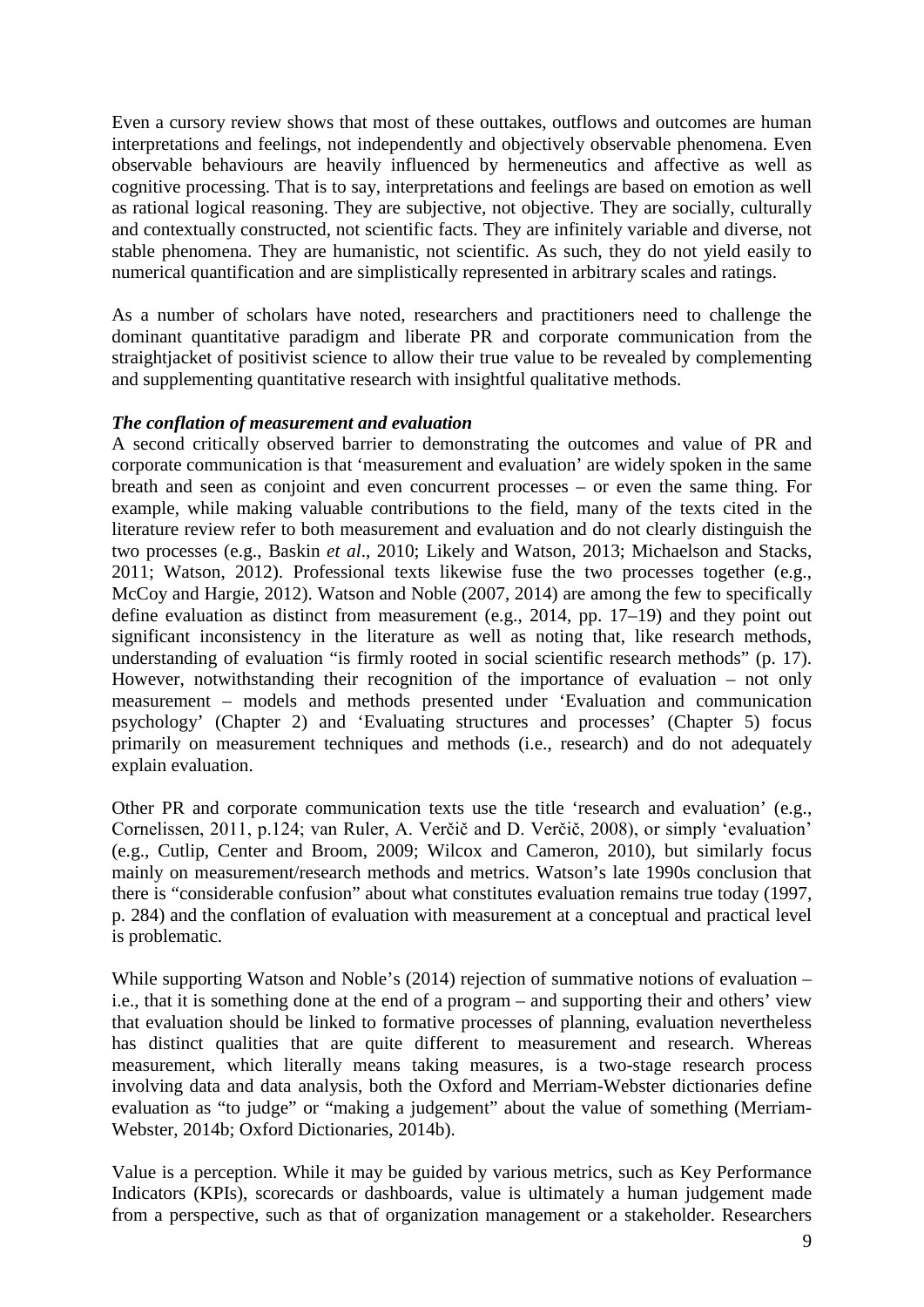Even a cursory review shows that most of these outtakes, outflows and outcomes are human interpretations and feelings, not independently and objectively observable phenomena. Even observable behaviours are heavily influenced by hermeneutics and affective as well as cognitive processing. That is to say, interpretations and feelings are based on emotion as well as rational logical reasoning. They are subjective, not objective. They are socially, culturally and contextually constructed, not scientific facts. They are infinitely variable and diverse, not stable phenomena. They are humanistic, not scientific. As such, they do not yield easily to numerical quantification and are simplistically represented in arbitrary scales and ratings.

As a number of scholars have noted, researchers and practitioners need to challenge the dominant quantitative paradigm and liberate PR and corporate communication from the straightjacket of positivist science to allow their true value to be revealed by complementing and supplementing quantitative research with insightful qualitative methods.

#### *The conflation of measurement and evaluation*

A second critically observed barrier to demonstrating the outcomes and value of PR and corporate communication is that 'measurement and evaluation' are widely spoken in the same breath and seen as conjoint and even concurrent processes – or even the same thing. For example, while making valuable contributions to the field, many of the texts cited in the literature review refer to both measurement and evaluation and do not clearly distinguish the two processes (e.g., Baskin *et al*., 2010; Likely and Watson, 2013; Michaelson and Stacks, 2011; Watson, 2012). Professional texts likewise fuse the two processes together (e.g., McCoy and Hargie, 2012). Watson and Noble (2007, 2014) are among the few to specifically define evaluation as distinct from measurement (e.g., 2014, pp. 17–19) and they point out significant inconsistency in the literature as well as noting that, like research methods, understanding of evaluation "is firmly rooted in social scientific research methods" (p. 17). However, notwithstanding their recognition of the importance of evaluation – not only measurement – models and methods presented under 'Evaluation and communication psychology' (Chapter 2) and 'Evaluating structures and processes' (Chapter 5) focus primarily on measurement techniques and methods (i.e., research) and do not adequately explain evaluation.

Other PR and corporate communication texts use the title 'research and evaluation' (e.g., Cornelissen, 2011, p.124; van Ruler, A. Verčič and D. Verčič, 2008), or simply 'evaluation' (e.g., Cutlip, Center and Broom, 2009; Wilcox and Cameron, 2010), but similarly focus mainly on measurement/research methods and metrics. Watson's late 1990s conclusion that there is "considerable confusion" about what constitutes evaluation remains true today (1997, p. 284) and the conflation of evaluation with measurement at a conceptual and practical level is problematic.

While supporting Watson and Noble's (2014) rejection of summative notions of evaluation – i.e., that it is something done at the end of a program – and supporting their and others' view that evaluation should be linked to formative processes of planning, evaluation nevertheless has distinct qualities that are quite different to measurement and research. Whereas measurement, which literally means taking measures, is a two-stage research process involving data and data analysis, both the Oxford and Merriam-Webster dictionaries define evaluation as "to judge" or "making a judgement" about the value of something (Merriam-Webster, 2014b; Oxford Dictionaries, 2014b).

Value is a perception. While it may be guided by various metrics, such as Key Performance Indicators (KPIs), scorecards or dashboards, value is ultimately a human judgement made from a perspective, such as that of organization management or a stakeholder. Researchers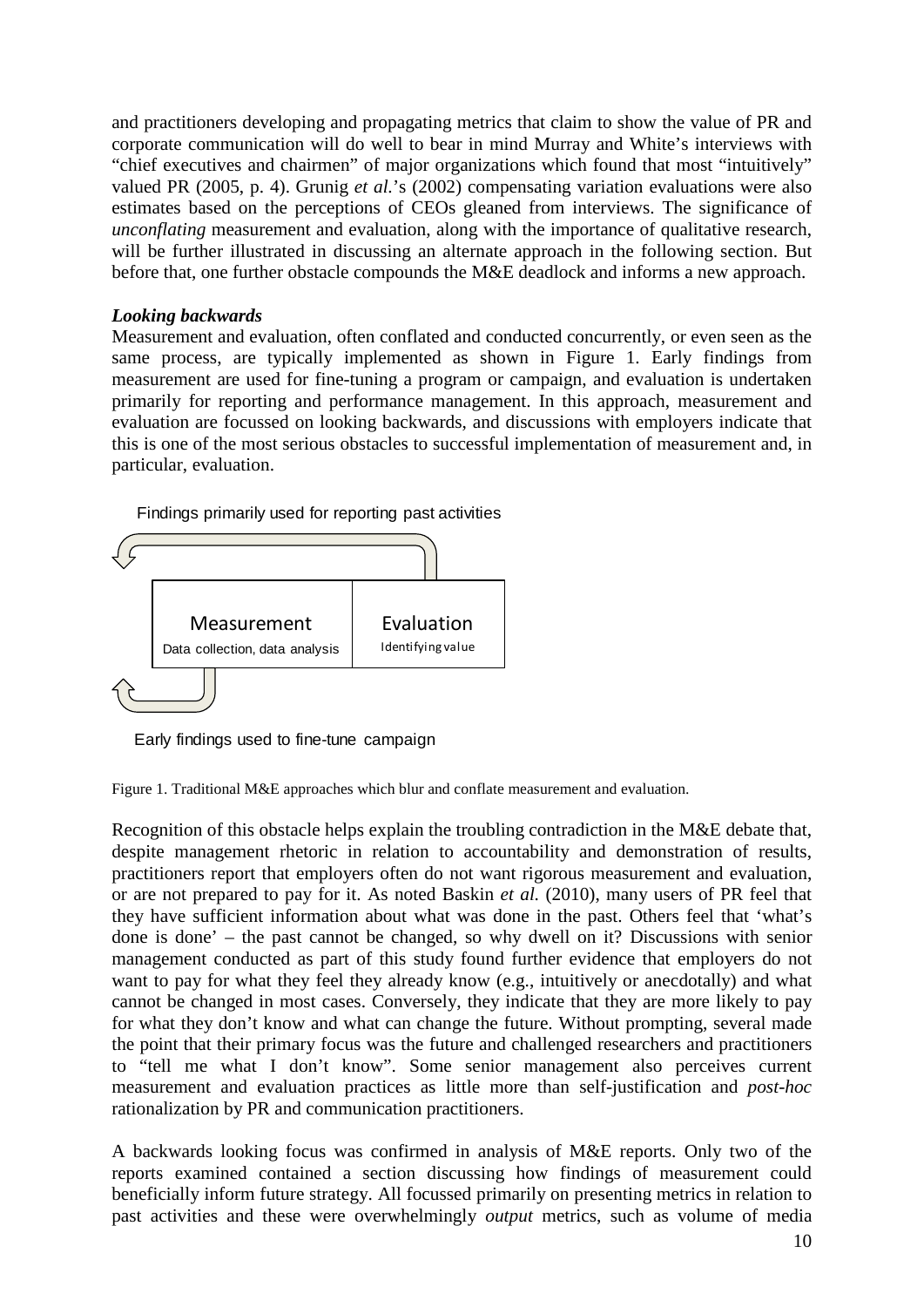and practitioners developing and propagating metrics that claim to show the value of PR and corporate communication will do well to bear in mind Murray and White's interviews with "chief executives and chairmen" of major organizations which found that most "intuitively" valued PR (2005, p. 4). Grunig *et al.*'s (2002) compensating variation evaluations were also estimates based on the perceptions of CEOs gleaned from interviews. The significance of *unconflating* measurement and evaluation, along with the importance of qualitative research, will be further illustrated in discussing an alternate approach in the following section. But before that, one further obstacle compounds the M&E deadlock and informs a new approach.

## *Looking backwards*

Measurement and evaluation, often conflated and conducted concurrently, or even seen as the same process, are typically implemented as shown in Figure 1. Early findings from measurement are used for fine-tuning a program or campaign, and evaluation is undertaken primarily for reporting and performance management. In this approach, measurement and evaluation are focussed on looking backwards, and discussions with employers indicate that this is one of the most serious obstacles to successful implementation of measurement and, in particular, evaluation.

Findings primarily used for reporting past activities



Early findings used to fine-tune campaign

Figure 1. Traditional M&E approaches which blur and conflate measurement and evaluation.

Recognition of this obstacle helps explain the troubling contradiction in the M&E debate that, despite management rhetoric in relation to accountability and demonstration of results, practitioners report that employers often do not want rigorous measurement and evaluation, or are not prepared to pay for it. As noted Baskin *et al.* (2010), many users of PR feel that they have sufficient information about what was done in the past. Others feel that 'what's done is done' – the past cannot be changed, so why dwell on it? Discussions with senior management conducted as part of this study found further evidence that employers do not want to pay for what they feel they already know (e.g., intuitively or anecdotally) and what cannot be changed in most cases. Conversely, they indicate that they are more likely to pay for what they don't know and what can change the future. Without prompting, several made the point that their primary focus was the future and challenged researchers and practitioners to "tell me what I don't know". Some senior management also perceives current measurement and evaluation practices as little more than self-justification and *post-hoc* rationalization by PR and communication practitioners.

A backwards looking focus was confirmed in analysis of M&E reports. Only two of the reports examined contained a section discussing how findings of measurement could beneficially inform future strategy. All focussed primarily on presenting metrics in relation to past activities and these were overwhelmingly *output* metrics, such as volume of media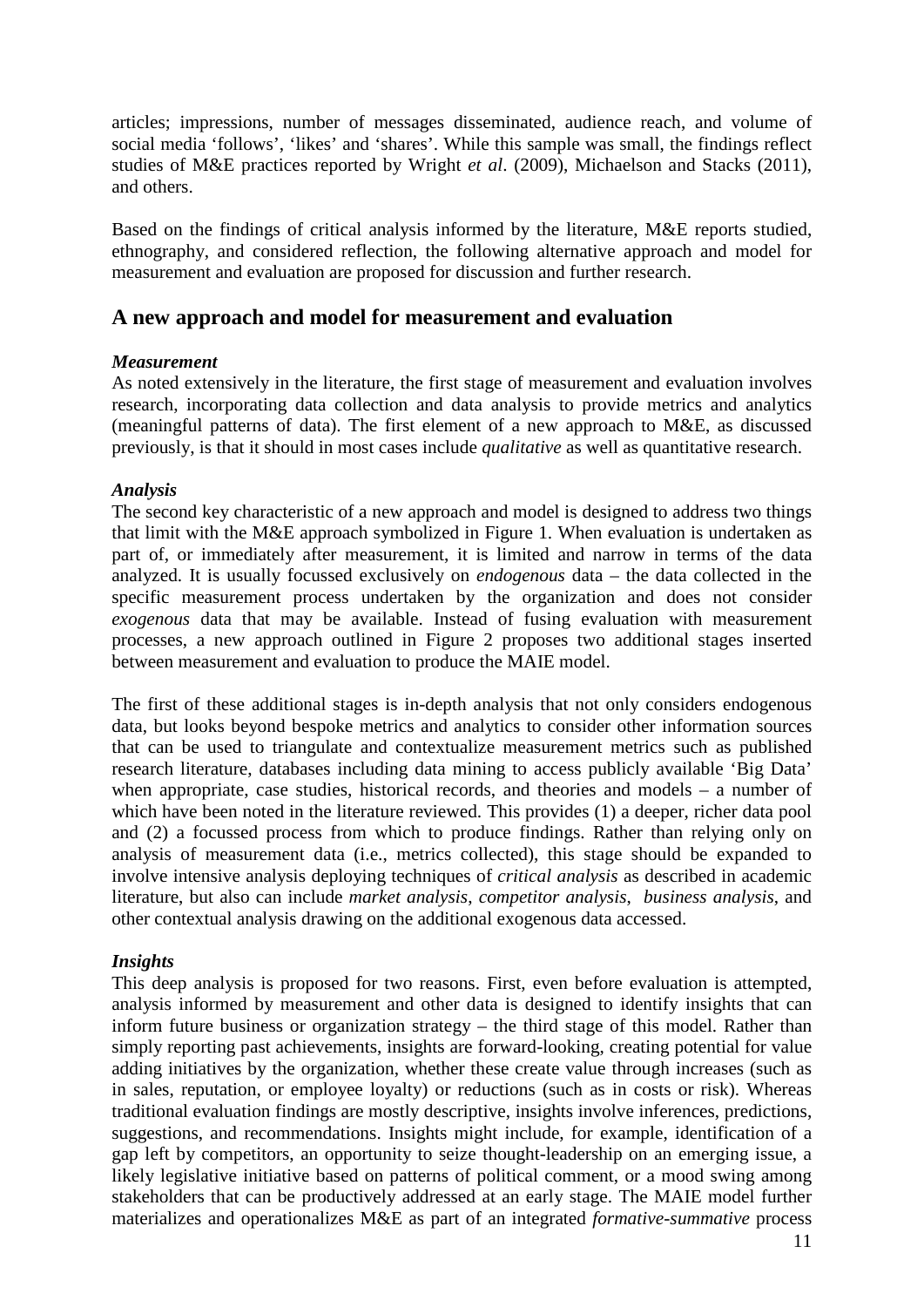articles; impressions, number of messages disseminated, audience reach, and volume of social media 'follows', 'likes' and 'shares'. While this sample was small, the findings reflect studies of M&E practices reported by Wright *et al*. (2009), Michaelson and Stacks (2011), and others.

Based on the findings of critical analysis informed by the literature, M&E reports studied, ethnography, and considered reflection, the following alternative approach and model for measurement and evaluation are proposed for discussion and further research.

# **A new approach and model for measurement and evaluation**

#### *Measurement*

As noted extensively in the literature, the first stage of measurement and evaluation involves research, incorporating data collection and data analysis to provide metrics and analytics (meaningful patterns of data). The first element of a new approach to M&E, as discussed previously, is that it should in most cases include *qualitative* as well as quantitative research.

#### *Analysis*

The second key characteristic of a new approach and model is designed to address two things that limit with the M&E approach symbolized in Figure 1. When evaluation is undertaken as part of, or immediately after measurement, it is limited and narrow in terms of the data analyzed. It is usually focussed exclusively on *endogenous* data – the data collected in the specific measurement process undertaken by the organization and does not consider *exogenous* data that may be available. Instead of fusing evaluation with measurement processes, a new approach outlined in Figure 2 proposes two additional stages inserted between measurement and evaluation to produce the MAIE model.

The first of these additional stages is in-depth analysis that not only considers endogenous data, but looks beyond bespoke metrics and analytics to consider other information sources that can be used to triangulate and contextualize measurement metrics such as published research literature, databases including data mining to access publicly available 'Big Data' when appropriate, case studies, historical records, and theories and models – a number of which have been noted in the literature reviewed. This provides (1) a deeper, richer data pool and (2) a focussed process from which to produce findings. Rather than relying only on analysis of measurement data (i.e., metrics collected), this stage should be expanded to involve intensive analysis deploying techniques of *critical analysis* as described in academic literature, but also can include *market analysis*, *competitor analysis*, *business analysis*, and other contextual analysis drawing on the additional exogenous data accessed.

## *Insights*

This deep analysis is proposed for two reasons. First, even before evaluation is attempted, analysis informed by measurement and other data is designed to identify insights that can inform future business or organization strategy – the third stage of this model. Rather than simply reporting past achievements, insights are forward-looking, creating potential for value adding initiatives by the organization, whether these create value through increases (such as in sales, reputation, or employee loyalty) or reductions (such as in costs or risk). Whereas traditional evaluation findings are mostly descriptive, insights involve inferences, predictions, suggestions, and recommendations. Insights might include, for example, identification of a gap left by competitors, an opportunity to seize thought-leadership on an emerging issue, a likely legislative initiative based on patterns of political comment, or a mood swing among stakeholders that can be productively addressed at an early stage. The MAIE model further materializes and operationalizes M&E as part of an integrated *formative-summative* process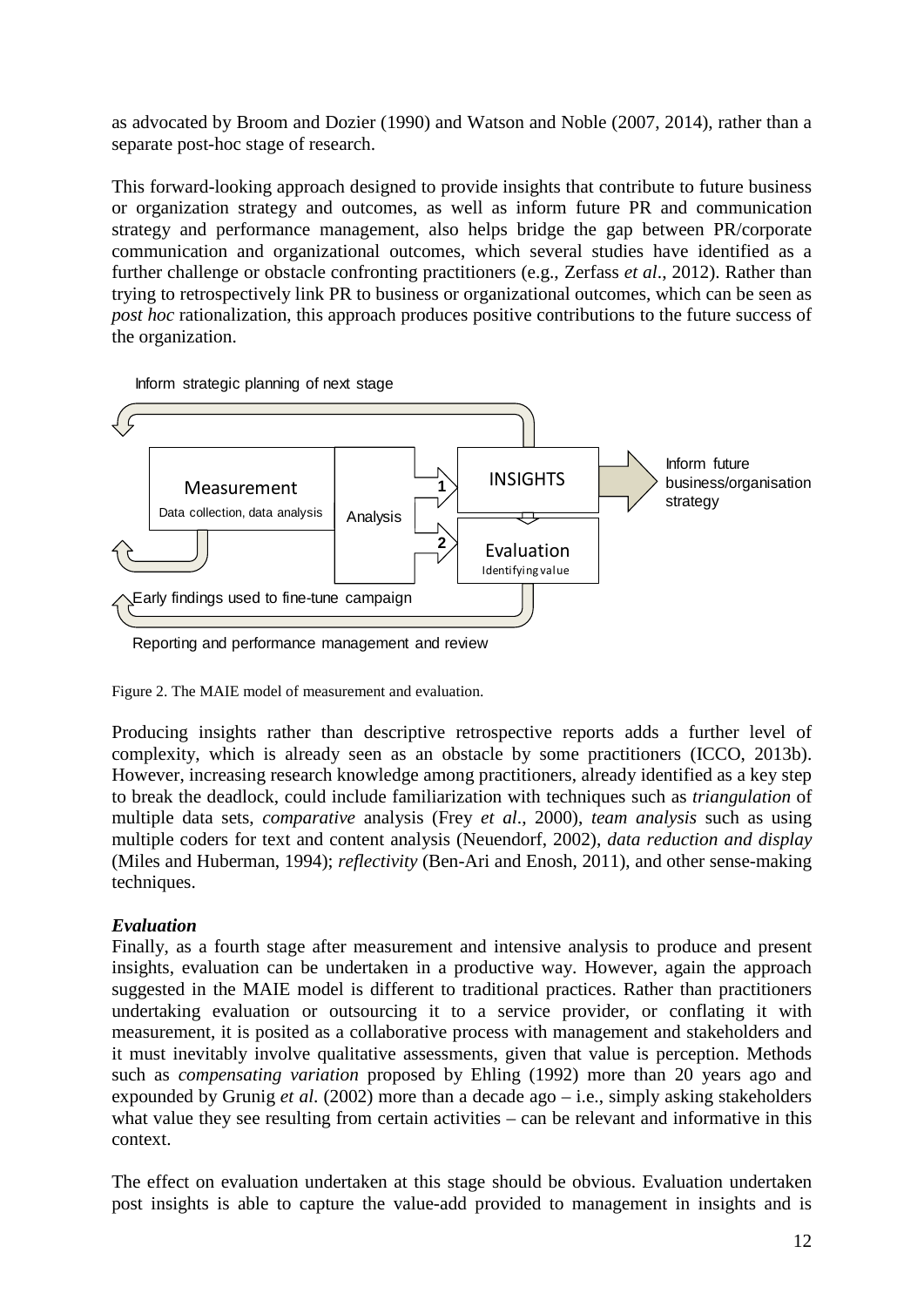as advocated by Broom and Dozier (1990) and Watson and Noble (2007, 2014), rather than a separate post-hoc stage of research.

This forward-looking approach designed to provide insights that contribute to future business or organization strategy and outcomes, as well as inform future PR and communication strategy and performance management, also helps bridge the gap between PR/corporate communication and organizational outcomes, which several studies have identified as a further challenge or obstacle confronting practitioners (e.g., Zerfass *et al*., 2012). Rather than trying to retrospectively link PR to business or organizational outcomes, which can be seen as *post hoc* rationalization, this approach produces positive contributions to the future success of the organization.



Inform strategic planning of next stage

Figure 2. The MAIE model of measurement and evaluation.

Producing insights rather than descriptive retrospective reports adds a further level of complexity, which is already seen as an obstacle by some practitioners (ICCO, 2013b). However, increasing research knowledge among practitioners, already identified as a key step to break the deadlock, could include familiarization with techniques such as *triangulation* of multiple data sets, *comparative* analysis (Frey *et al*., 2000), *team analysis* such as using multiple coders for text and content analysis (Neuendorf, 2002), *data reduction and display* (Miles and Huberman, 1994); *reflectivity* (Ben-Ari and Enosh, 2011), and other sense-making techniques.

#### *Evaluation*

Finally, as a fourth stage after measurement and intensive analysis to produce and present insights, evaluation can be undertaken in a productive way. However, again the approach suggested in the MAIE model is different to traditional practices. Rather than practitioners undertaking evaluation or outsourcing it to a service provider, or conflating it with measurement, it is posited as a collaborative process with management and stakeholders and it must inevitably involve qualitative assessments, given that value is perception. Methods such as *compensating variation* proposed by Ehling (1992) more than 20 years ago and expounded by Grunig *et al*. (2002) more than a decade ago – i.e., simply asking stakeholders what value they see resulting from certain activities – can be relevant and informative in this context.

The effect on evaluation undertaken at this stage should be obvious. Evaluation undertaken post insights is able to capture the value-add provided to management in insights and is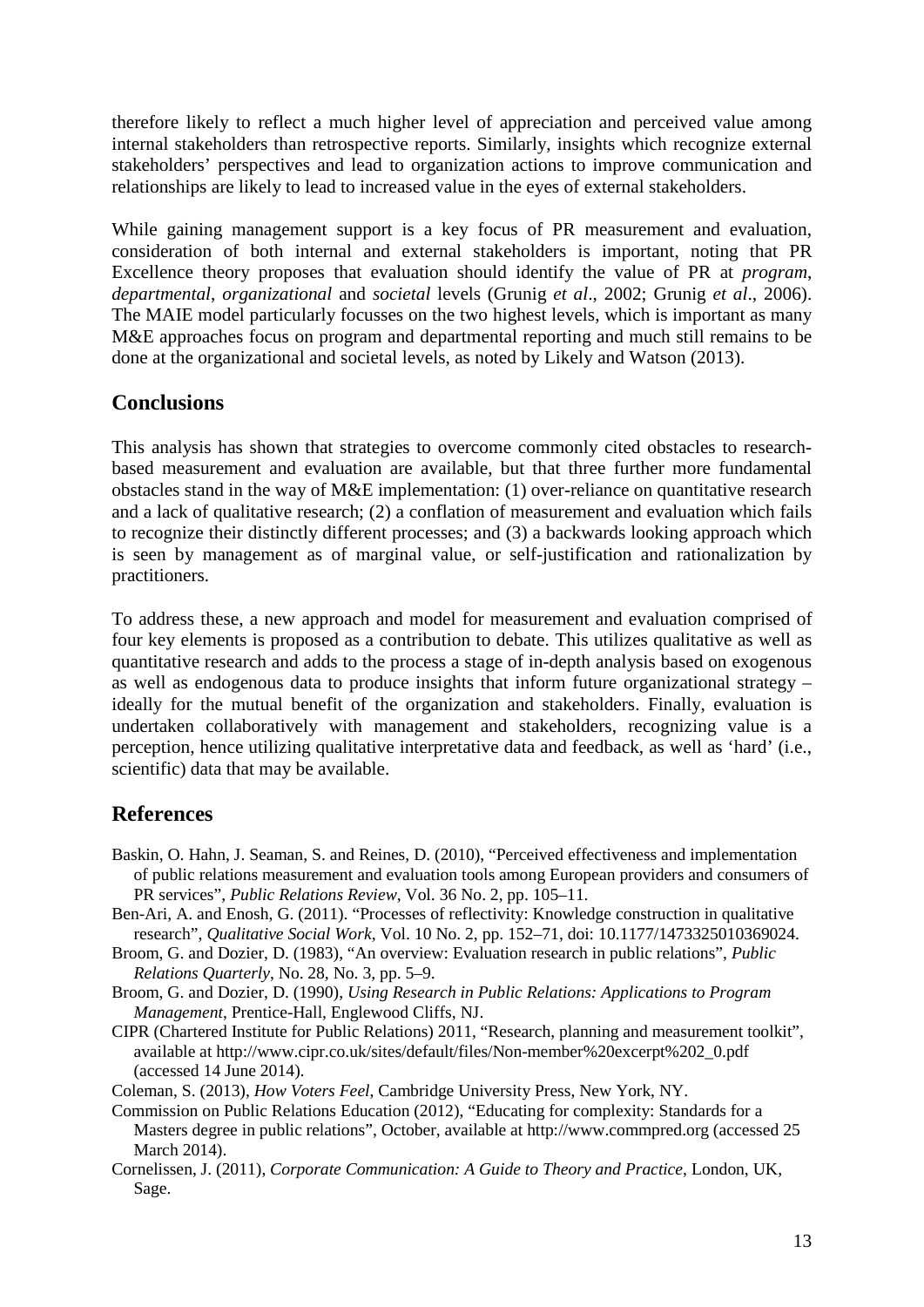therefore likely to reflect a much higher level of appreciation and perceived value among internal stakeholders than retrospective reports. Similarly, insights which recognize external stakeholders' perspectives and lead to organization actions to improve communication and relationships are likely to lead to increased value in the eyes of external stakeholders.

While gaining management support is a key focus of PR measurement and evaluation, consideration of both internal and external stakeholders is important, noting that PR Excellence theory proposes that evaluation should identify the value of PR at *program*, *departmental*, *organizational* and *societal* levels (Grunig *et al*., 2002; Grunig *et al*., 2006). The MAIE model particularly focusses on the two highest levels, which is important as many M&E approaches focus on program and departmental reporting and much still remains to be done at the organizational and societal levels, as noted by Likely and Watson (2013).

# **Conclusions**

This analysis has shown that strategies to overcome commonly cited obstacles to researchbased measurement and evaluation are available, but that three further more fundamental obstacles stand in the way of M&E implementation: (1) over-reliance on quantitative research and a lack of qualitative research; (2) a conflation of measurement and evaluation which fails to recognize their distinctly different processes; and (3) a backwards looking approach which is seen by management as of marginal value, or self-justification and rationalization by practitioners.

To address these, a new approach and model for measurement and evaluation comprised of four key elements is proposed as a contribution to debate. This utilizes qualitative as well as quantitative research and adds to the process a stage of in-depth analysis based on exogenous as well as endogenous data to produce insights that inform future organizational strategy – ideally for the mutual benefit of the organization and stakeholders. Finally, evaluation is undertaken collaboratively with management and stakeholders, recognizing value is a perception, hence utilizing qualitative interpretative data and feedback, as well as 'hard' (i.e., scientific) data that may be available.

# **References**

- Baskin, O. Hahn, J. Seaman, S. and Reines, D. (2010), "Perceived effectiveness and implementation of public relations measurement and evaluation tools among European providers and consumers of PR services", *Public Relations Review*, Vol. 36 No. 2, pp. 105–11.
- Ben-Ari, A. and Enosh, G. (2011). "Processes of reflectivity: Knowledge construction in qualitative research", *Qualitative Social Work*, Vol. 10 No. 2, pp. 152–71, doi: 10.1177/1473325010369024.
- Broom, G. and Dozier, D. (1983), "An overview: Evaluation research in public relations", *Public Relations Quarterly*, No. 28, No. 3, pp. 5–9.
- Broom, G. and Dozier, D. (1990), *Using Research in Public Relations: Applications to Program Management*, Prentice-Hall, Englewood Cliffs, NJ.
- CIPR (Chartered Institute for Public Relations) 2011, "Research, planning and measurement toolkit", available at http://www.cipr.co.uk/sites/default/files/Non-member%20excerpt%202\_0.pdf (accessed 14 June 2014).

Coleman, S. (2013), *How Voters Feel*, Cambridge University Press, New York, NY.

- Commission on Public Relations Education (2012), "Educating for complexity: Standards for a Masters degree in public relations", October, available at http://www.commpred.org (accessed 25 March 2014).
- Cornelissen, J. (2011), *Corporate Communication: A Guide to Theory and Practice*, London, UK, Sage.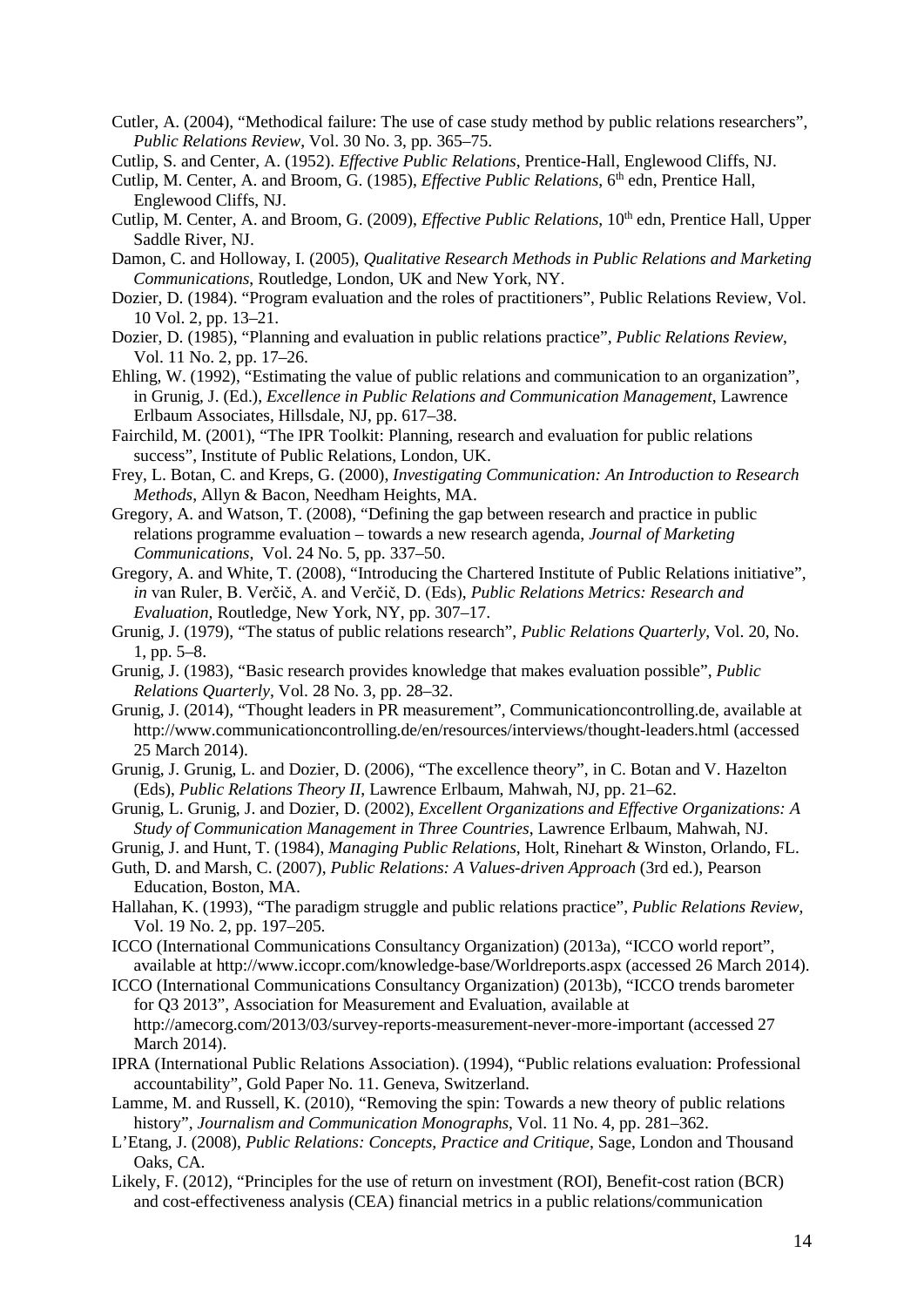- Cutler, A. (2004), "Methodical failure: The use of case study method by public relations researchers", *Public Relations Review*, Vol. 30 No. 3, pp. 365–75.
- Cutlip, S. and Center, A. (1952). *Effective Public Relations*, Prentice-Hall, Englewood Cliffs, NJ.
- Cutlip, M. Center, A. and Broom, G. (1985), *Effective Public Relations*, 6<sup>th</sup> edn, Prentice Hall, Englewood Cliffs, NJ.
- Cutlip, M. Center, A. and Broom, G. (2009), *Effective Public Relations*, 10<sup>th</sup> edn, Prentice Hall, Upper Saddle River, NJ.
- Damon, C. and Holloway, I. (2005), *Qualitative Research Methods in Public Relations and Marketing Communications*, Routledge, London, UK and New York, NY.
- Dozier, D. (1984). "Program evaluation and the roles of practitioners", Public Relations Review, Vol. 10 Vol. 2, pp. 13–21.
- Dozier, D. (1985), "Planning and evaluation in public relations practice", *Public Relations Review*, Vol. 11 No. 2, pp. 17–26.
- Ehling, W. (1992), "Estimating the value of public relations and communication to an organization", in Grunig, J. (Ed.), *Excellence in Public Relations and Communication Management*, Lawrence Erlbaum Associates, Hillsdale, NJ, pp. 617–38.
- Fairchild, M. (2001), "The IPR Toolkit: Planning, research and evaluation for public relations success", Institute of Public Relations, London, UK.
- Frey, L. Botan, C. and Kreps, G. (2000), *Investigating Communication: An Introduction to Research Methods*, Allyn & Bacon, Needham Heights, MA.
- Gregory, A. and Watson, T. (2008), "Defining the gap between research and practice in public relations programme evaluation – towards a new research agenda, *Journal of Marketing Communications*, Vol. 24 No. 5, pp. 337–50.
- Gregory, A. and White, T. (2008), "Introducing the Chartered Institute of Public Relations initiative", *in* van Ruler, B. Verčič, A. and Verčič, D. (Eds), *Public Relations Metrics: Research and Evaluation,* Routledge, New York, NY, pp. 307–17.
- Grunig, J. (1979), "The status of public relations research", *Public Relations Quarterly*, Vol. 20, No. 1, pp. 5–8.
- Grunig, J. (1983), "Basic research provides knowledge that makes evaluation possible", *Public Relations Quarterly*, Vol. 28 No. 3, pp. 28–32.
- Grunig, J. (2014), "Thought leaders in PR measurement", Communicationcontrolling.de, available at http://www.communicationcontrolling.de/en/resources/interviews/thought-leaders.html (accessed 25 March 2014).
- Grunig, J. Grunig, L. and Dozier, D. (2006), "The excellence theory", in C. Botan and V. Hazelton (Eds), *Public Relations Theory II*, Lawrence Erlbaum, Mahwah, NJ, pp. 21–62.
- Grunig, L. Grunig, J. and Dozier, D. (2002), *Excellent Organizations and Effective Organizations: A Study of Communication Management in Three Countries*, Lawrence Erlbaum, Mahwah, NJ.
- Grunig, J. and Hunt, T. (1984), *Managing Public Relations*, Holt, Rinehart & Winston, Orlando, FL.
- Guth, D. and Marsh, C. (2007), *Public Relations: A Values-driven Approach* (3rd ed.), Pearson Education, Boston, MA.
- Hallahan, K. (1993), "The paradigm struggle and public relations practice", *Public Relations Review*, Vol. 19 No. 2, pp. 197–205.
- ICCO (International Communications Consultancy Organization) (2013a), "ICCO world report", available at http://www.iccopr.com/knowledge-base/Worldreports.aspx (accessed 26 March 2014).
- ICCO (International Communications Consultancy Organization) (2013b), "ICCO trends barometer for Q3 2013", Association for Measurement and Evaluation, available at http://amecorg.com/2013/03/survey-reports-measurement-never-more-important (accessed 27 March 2014).
- IPRA (International Public Relations Association). (1994), "Public relations evaluation: Professional accountability", Gold Paper No. 11. Geneva, Switzerland.
- Lamme, M. and Russell, K. (2010), "Removing the spin: Towards a new theory of public relations history", *Journalism and Communication Monographs*, Vol. 11 No. 4, pp. 281–362.
- L'Etang, J. (2008), *Public Relations: Concepts, Practice and Critique*, Sage, London and Thousand Oaks, CA.
- Likely, F. (2012), "Principles for the use of return on investment (ROI), Benefit-cost ration (BCR) and cost-effectiveness analysis (CEA) financial metrics in a public relations/communication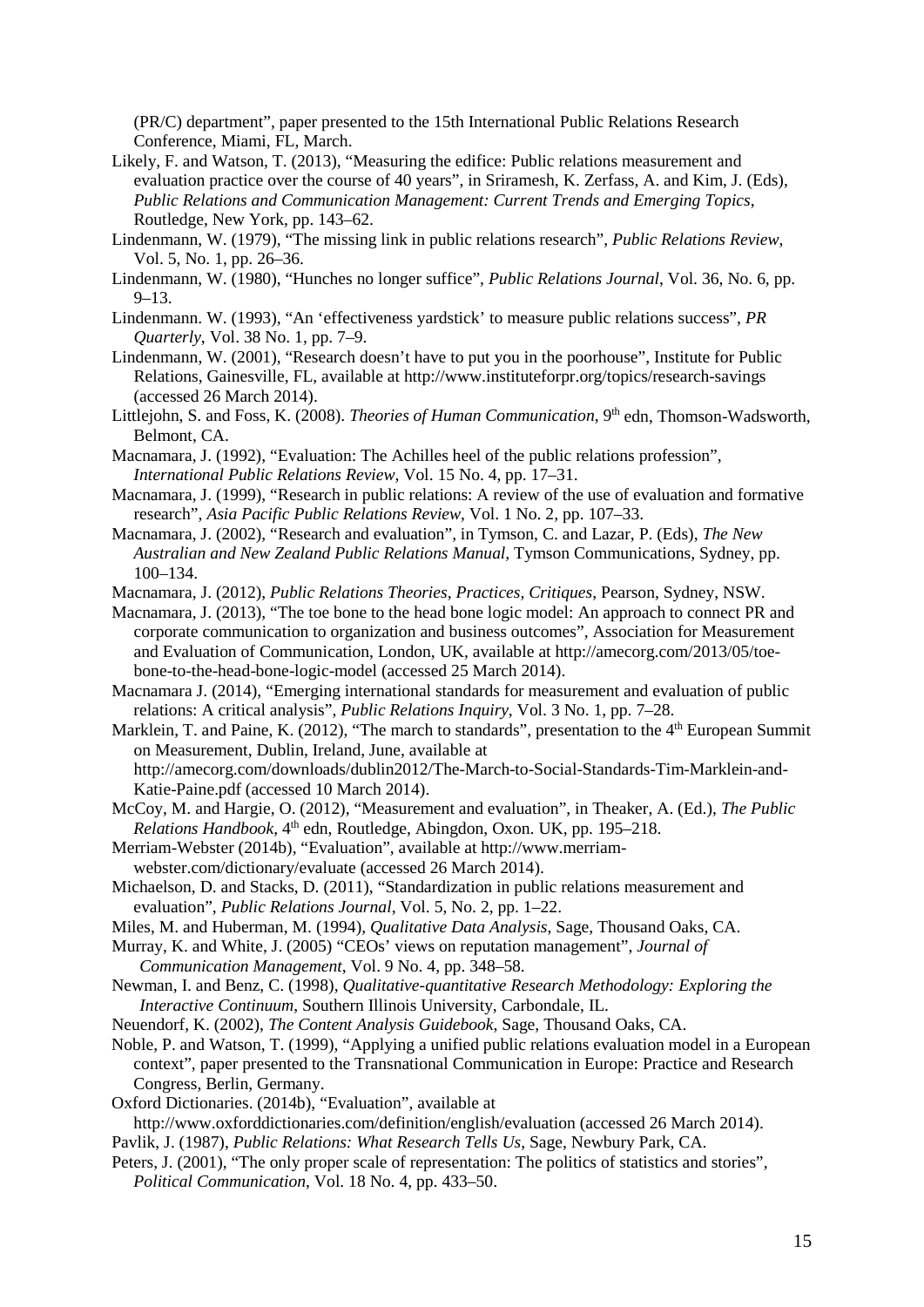(PR/C) department", paper presented to the 15th International Public Relations Research Conference, Miami, FL, March.

- Likely, F. and Watson, T. (2013), "Measuring the edifice: Public relations measurement and evaluation practice over the course of 40 years", in Sriramesh, K. Zerfass, A. and Kim, J. (Eds), *Public Relations and Communication Management: Current Trends and Emerging Topics*, Routledge, New York, pp. 143–62.
- Lindenmann, W. (1979), "The missing link in public relations research", *Public Relations Review*, Vol. 5, No. 1, pp. 26–36.
- Lindenmann, W. (1980), "Hunches no longer suffice", *Public Relations Journal*, Vol. 36, No. 6, pp. 9–13.
- Lindenmann. W. (1993), "An 'effectiveness yardstick' to measure public relations success", *PR Quarterly*, Vol. 38 No. 1, pp. 7–9.
- Lindenmann, W. (2001), "Research doesn't have to put you in the poorhouse", Institute for Public Relations, Gainesville, FL, available at http://www.instituteforpr.org/topics/research-savings (accessed 26 March 2014).
- Littlejohn, S. and Foss, K. (2008). *Theories of Human Communication*, 9<sup>th</sup> edn, Thomson-Wadsworth, Belmont, CA.
- Macnamara, J. (1992), "Evaluation: The Achilles heel of the public relations profession", *International Public Relations Review*, Vol. 15 No. 4, pp. 17–31.
- Macnamara, J. (1999), "Research in public relations: A review of the use of evaluation and formative research", *Asia Pacific Public Relations Review*, Vol. 1 No. 2, pp. 107–33.
- Macnamara, J. (2002), "Research and evaluation", in Tymson, C. and Lazar, P. (Eds), *The New Australian and New Zealand Public Relations Manual*, Tymson Communications, Sydney, pp. 100–134.
- Macnamara, J. (2012), *Public Relations Theories, Practices, Critiques*, Pearson, Sydney, NSW.
- Macnamara, J. (2013), "The toe bone to the head bone logic model: An approach to connect PR and corporate communication to organization and business outcomes", Association for Measurement and Evaluation of Communication, London, UK, available at http://amecorg.com/2013/05/toebone-to-the-head-bone-logic-model (accessed 25 March 2014).
- Macnamara J. (2014), "Emerging international standards for measurement and evaluation of public relations: A critical analysis", *Public Relations Inquiry*, Vol. 3 No. 1, pp. 7–28.
- Marklein, T. and Paine, K. (2012), "The march to standards", presentation to the  $4<sup>th</sup>$  European Summit on Measurement, Dublin, Ireland, June, available at http://amecorg.com/downloads/dublin2012/The-March-to-Social-Standards-Tim-Marklein-and-
- Katie-Paine.pdf (accessed 10 March 2014). McCoy, M. and Hargie, O. (2012), "Measurement and evaluation", in Theaker, A. (Ed.), *The Public Relations Handbook*, 4<sup>th</sup> edn, Routledge, Abingdon, Oxon. UK, pp. 195–218.
- Merriam-Webster (2014b), "Evaluation", available at http://www.merriamwebster.com/dictionary/evaluate (accessed 26 March 2014).
- Michaelson, D. and Stacks, D. (2011), "Standardization in public relations measurement and evaluation", *Public Relations Journal*, Vol. 5, No. 2, pp. 1–22.
- Miles, M. and Huberman, M. (1994), *Qualitative Data Analysis*, Sage, Thousand Oaks, CA.
- Murray, K. and White, J. (2005) "CEOs' views on reputation management", *Journal of Communication Management*, Vol. 9 No. 4, pp. 348–58.
- Newman, I. and Benz, C. (1998), *Qualitative-quantitative Research Methodology: Exploring the Interactive Continuum*, Southern Illinois University, Carbondale, IL.
- Neuendorf, K. (2002), *The Content Analysis Guidebook*, Sage, Thousand Oaks, CA.
- Noble, P. and Watson, T. (1999), "Applying a unified public relations evaluation model in a European context", paper presented to the Transnational Communication in Europe: Practice and Research Congress, Berlin, Germany.
- Oxford Dictionaries. (2014b), "Evaluation", available at

http://www.oxforddictionaries.com/definition/english/evaluation (accessed 26 March 2014). Pavlik, J. (1987), *Public Relations: What Research Tells Us*, Sage, Newbury Park, CA.

Peters, J. (2001), "The only proper scale of representation: The politics of statistics and stories", *Political Communication*, Vol. 18 No. 4, pp. 433–50.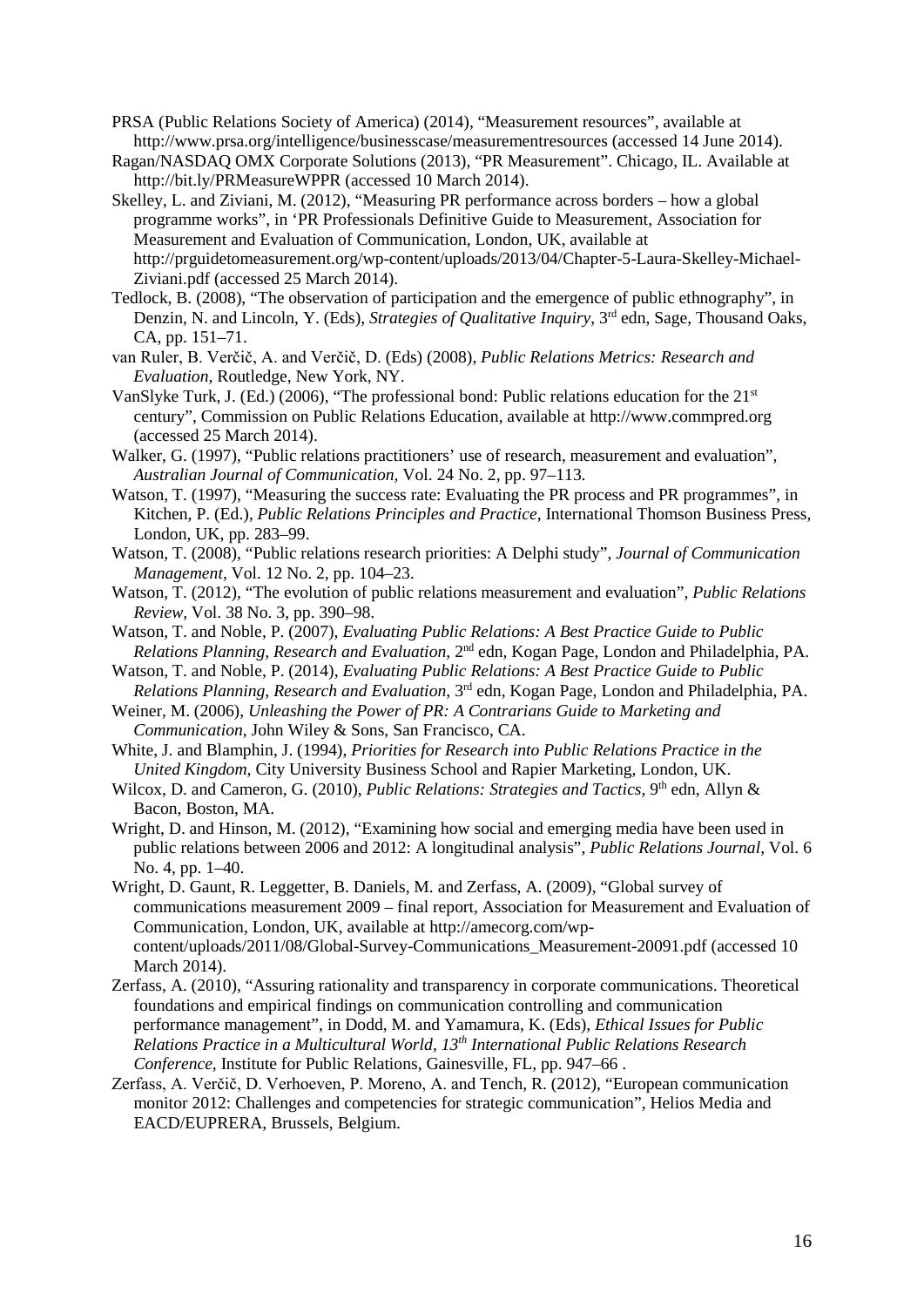- PRSA (Public Relations Society of America) (2014), "Measurement resources", available at http://www.prsa.org/intelligence/businesscase/measurementresources (accessed 14 June 2014).
- Ragan/NASDAQ OMX Corporate Solutions (2013), "PR Measurement". Chicago, IL. Available at http://bit.ly/PRMeasureWPPR (accessed 10 March 2014).
- Skelley, L. and Ziviani, M. (2012), "Measuring PR performance across borders how a global programme works", in 'PR Professionals Definitive Guide to Measurement, Association for Measurement and Evaluation of Communication, London, UK, available at http://prguidetomeasurement.org/wp-content/uploads/2013/04/Chapter-5-Laura-Skelley-Michael-Ziviani.pdf (accessed 25 March 2014).
- Tedlock, B. (2008), "The observation of participation and the emergence of public ethnography", in Denzin, N. and Lincoln, Y. (Eds), *Strategies of Qualitative Inquiry*, 3rd edn, Sage, Thousand Oaks, CA, pp. 151–71.
- van Ruler, B. Verčič, A. and Verčič, D. (Eds) (2008), *Public Relations Metrics: Research and Evaluation*, Routledge, New York, NY.
- VanSlyke Turk, J. (Ed.) (2006), "The professional bond: Public relations education for the 21st century", Commission on Public Relations Education, available at http://www.commpred.org (accessed 25 March 2014).
- Walker, G. (1997), "Public relations practitioners' use of research, measurement and evaluation", *Australian Journal of Communication,* Vol. 24 No. 2, pp. 97–113.
- Watson, T. (1997), "Measuring the success rate: Evaluating the PR process and PR programmes", in Kitchen, P. (Ed.), *Public Relations Principles and Practice*, International Thomson Business Press, London, UK, pp. 283–99.
- Watson, T. (2008), "Public relations research priorities: A Delphi study", *Journal of Communication Management*, Vol. 12 No. 2, pp. 104–23.
- Watson, T. (2012), "The evolution of public relations measurement and evaluation", *Public Relations Review*, Vol. 38 No. 3, pp. 390–98.
- Watson, T. and Noble, P. (2007), *Evaluating Public Relations: A Best Practice Guide to Public Relations Planning, Research and Evaluation*, 2nd edn, Kogan Page, London and Philadelphia, PA.
- Watson, T. and Noble, P. (2014), *Evaluating Public Relations: A Best Practice Guide to Public Relations Planning, Research and Evaluation*, 3rd edn, Kogan Page, London and Philadelphia, PA.
- Weiner, M. (2006), *Unleashing the Power of PR: A Contrarians Guide to Marketing and Communication*, John Wiley & Sons, San Francisco, CA.
- White, J. and Blamphin, J. (1994), *Priorities for Research into Public Relations Practice in the United Kingdom*, City University Business School and Rapier Marketing, London, UK.
- Wilcox, D. and Cameron, G. (2010), *Public Relations: Strategies and Tactics*, 9<sup>th</sup> edn, Allyn & Bacon, Boston, MA.
- Wright, D. and Hinson, M. (2012), "Examining how social and emerging media have been used in public relations between 2006 and 2012: A longitudinal analysis", *Public Relations Journal*, Vol. 6 No. 4, pp. 1–40.
- Wright, D. Gaunt, R. Leggetter, B. Daniels, M. and Zerfass, A. (2009), "Global survey of communications measurement 2009 – final report, Association for Measurement and Evaluation of Communication, London, UK, available at http://amecorg.com/wpcontent/uploads/2011/08/Global-Survey-Communications\_Measurement-20091.pdf (accessed 10 March 2014).
- Zerfass, A. (2010), "Assuring rationality and transparency in corporate communications. Theoretical foundations and empirical findings on communication controlling and communication performance management", in Dodd, M. and Yamamura, K. (Eds), *Ethical Issues for Public Relations Practice in a Multicultural World, 13th International Public Relations Research Conference,* Institute for Public Relations, Gainesville, FL, pp. 947–66 .
- Zerfass, A. Verčič, D. Verhoeven, P. Moreno, A. and Tench, R. (2012), "European communication monitor 2012: Challenges and competencies for strategic communication", Helios Media and EACD/EUPRERA, Brussels, Belgium.